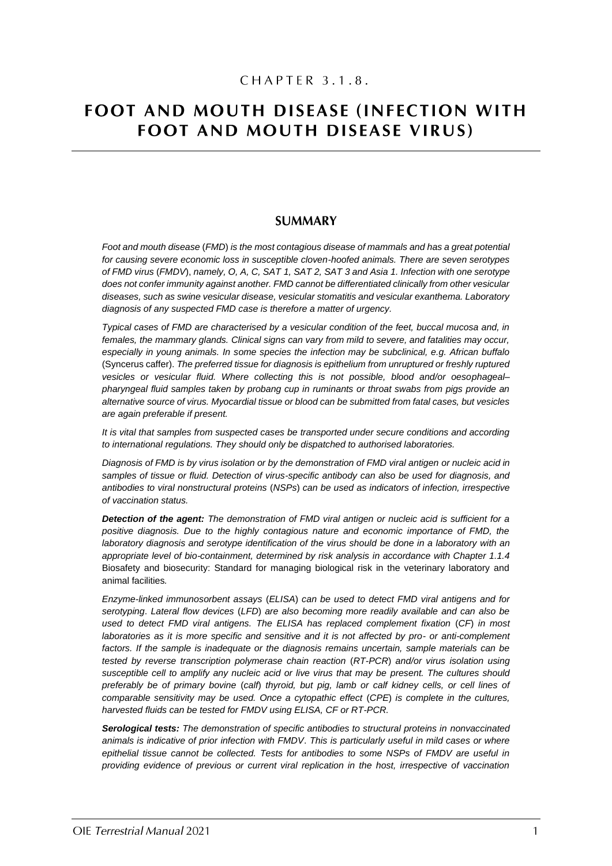# FOOT AND MOUTH DISEASE (INFECTION WITH **FOOT AND MOUTH DISEASE VIRUS)**

# **SUMMARY**

*Foot and mouth disease* (*FMD*) *is the most contagious disease of mammals and has a great potential for causing severe economic loss in susceptible cloven-hoofed animals. There are seven serotypes of FMD virus* (*FMDV*), *namely, O, A, C, SAT 1, SAT 2, SAT 3 and Asia 1. Infection with one serotype does not confer immunity against another. FMD cannot be differentiated clinically from other vesicular diseases, such as swine vesicular disease, vesicular stomatitis and vesicular exanthema. Laboratory diagnosis of any suspected FMD case is therefore a matter of urgency.*

*Typical cases of FMD are characterised by a vesicular condition of the feet, buccal mucosa and, in females, the mammary glands. Clinical signs can vary from mild to severe, and fatalities may occur, especially in young animals. In some species the infection may be subclinical, e.g. African buffalo*  (Syncerus caffer). *The preferred tissue for diagnosis is epithelium from unruptured or freshly ruptured vesicles or vesicular fluid. Where collecting this is not possible, blood and/or oesophageal– pharyngeal fluid samples taken by probang cup in ruminants or throat swabs from pigs provide an alternative source of virus. Myocardial tissue or blood can be submitted from fatal cases, but vesicles are again preferable if present.*

*It is vital that samples from suspected cases be transported under secure conditions and according to international regulations. They should only be dispatched to authorised laboratories.*

*Diagnosis of FMD is by virus isolation or by the demonstration of FMD viral antigen or nucleic acid in samples of tissue or fluid. Detection of virus-specific antibody can also be used for diagnosis, and antibodies to viral nonstructural proteins* (*NSPs*) *can be used as indicators of infection, irrespective of vaccination status.*

*Detection of the agent: The demonstration of FMD viral antigen or nucleic acid is sufficient for a positive diagnosis. Due to the highly contagious nature and economic importance of FMD, the laboratory diagnosis and serotype identification of the virus should be done in a laboratory with an appropriate level of bio-containment, determined by risk analysis in accordance with Chapter 1.1.4*  Biosafety and biosecurity: Standard for managing biological risk in the veterinary laboratory and animal facilities*.*

*Enzyme-linked immunosorbent assays* (*ELISA*) *can be used to detect FMD viral antigens and for serotyping*. *Lateral flow devices* (*LFD*) *are also becoming more readily available and can also be used to detect FMD viral antigens. The ELISA has replaced complement fixation* (*CF*) *in most laboratories as it is more specific and sensitive and it is not affected by pro- or anti-complement*  factors. If the sample is inadequate or the diagnosis remains uncertain, sample materials can be *tested by reverse transcription polymerase chain reaction* (*RT-PCR*) *and/or virus isolation using susceptible cell to amplify any nucleic acid or live virus that may be present. The cultures should preferably be of primary bovine* (*calf*) *thyroid, but pig, lamb or calf kidney cells, or cell lines of comparable sensitivity may be used. Once a cytopathic effect* (*CPE*) *is complete in the cultures, harvested fluids can be tested for FMDV using ELISA, CF or RT-PCR.*

*Serological tests: The demonstration of specific antibodies to structural proteins in nonvaccinated animals is indicative of prior infection with FMDV*. *This is particularly useful in mild cases or where epithelial tissue cannot be collected. Tests for antibodies to some NSPs of FMDV are useful in providing evidence of previous or current viral replication in the host, irrespective of vaccination*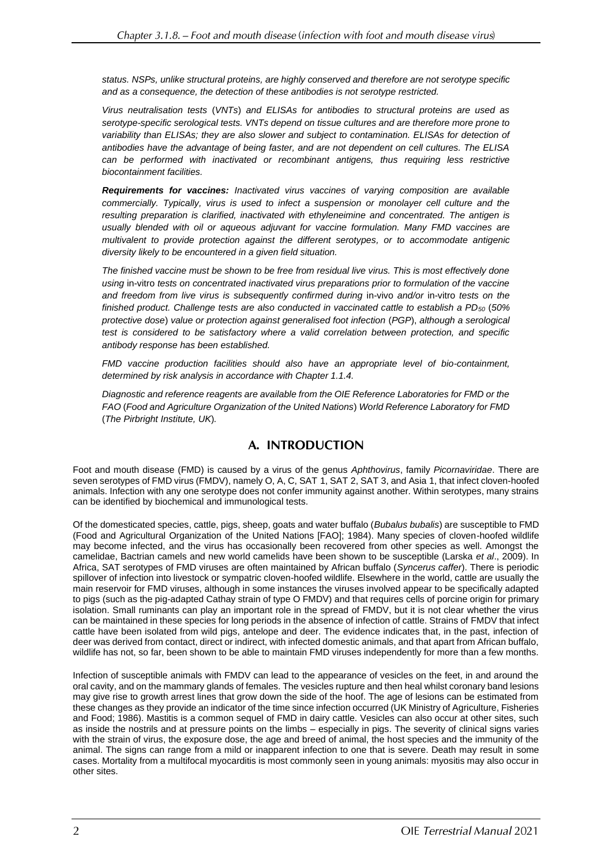*status. NSPs, unlike structural proteins, are highly conserved and therefore are not serotype specific and as a consequence, the detection of these antibodies is not serotype restricted.*

*Virus neutralisation tests* (*VNTs*) *and ELISAs for antibodies to structural proteins are used as serotype-specific serological tests. VNTs depend on tissue cultures and are therefore more prone to variability than ELISAs; they are also slower and subject to contamination. ELISAs for detection of antibodies have the advantage of being faster, and are not dependent on cell cultures. The ELISA*  can be performed with inactivated or recombinant antigens, thus requiring less restrictive *biocontainment facilities.*

*Requirements for vaccines: Inactivated virus vaccines of varying composition are available commercially. Typically, virus is used to infect a suspension or monolayer cell culture and the resulting preparation is clarified, inactivated with ethyleneimine and concentrated. The antigen is usually blended with oil or aqueous adjuvant for vaccine formulation. Many FMD vaccines are multivalent to provide protection against the different serotypes, or to accommodate antigenic diversity likely to be encountered in a given field situation.*

*The finished vaccine must be shown to be free from residual live virus. This is most effectively done using* in-vitro *tests on concentrated inactivated virus preparations prior to formulation of the vaccine and freedom from live virus is subsequently confirmed during* in-vivo *and/or* in-vitro *tests on the finished product. Challenge tests are also conducted in vaccinated cattle to establish a PD<sup>50</sup>* (*50% protective dose*) *value or protection against generalised foot infection* (*PGP*), *although a serological test is considered to be satisfactory where a valid correlation between protection, and specific antibody response has been established.*

*FMD vaccine production facilities should also have an appropriate level of bio-containment, determined by risk analysis in accordance with Chapter 1.1.4.*

*Diagnostic and reference reagents are available from the OIE Reference Laboratories for FMD or the FAO* (*Food and Agriculture Organization of the United Nations*) *World Reference Laboratory for FMD* (*The Pirbright Institute, UK*)*.*

# A. INTRODUCTION

Foot and mouth disease (FMD) is caused by a virus of the genus *Aphthovirus*, family *Picornaviridae*. There are seven serotypes of FMD virus (FMDV), namely O, A, C, SAT 1, SAT 2, SAT 3, and Asia 1, that infect cloven-hoofed animals. Infection with any one serotype does not confer immunity against another. Within serotypes, many strains can be identified by biochemical and immunological tests.

Of the domesticated species, cattle, pigs, sheep, goats and water buffalo (*Bubalus bubalis*) are susceptible to FMD (Food and Agricultural Organization of the United Nations [FAO]; 1984). Many species of cloven-hoofed wildlife may become infected, and the virus has occasionally been recovered from other species as well. Amongst the camelidae, Bactrian camels and new world camelids have been shown to be susceptible (Larska *et al*., 2009). In Africa, SAT serotypes of FMD viruses are often maintained by African buffalo (*Syncerus caffer*). There is periodic spillover of infection into livestock or sympatric cloven-hoofed wildlife. Elsewhere in the world, cattle are usually the main reservoir for FMD viruses, although in some instances the viruses involved appear to be specifically adapted to pigs (such as the pig-adapted Cathay strain of type O FMDV) and that requires cells of porcine origin for primary isolation. Small ruminants can play an important role in the spread of FMDV, but it is not clear whether the virus can be maintained in these species for long periods in the absence of infection of cattle. Strains of FMDV that infect cattle have been isolated from wild pigs, antelope and deer. The evidence indicates that, in the past, infection of deer was derived from contact, direct or indirect, with infected domestic animals, and that apart from African buffalo, wildlife has not, so far, been shown to be able to maintain FMD viruses independently for more than a few months.

Infection of susceptible animals with FMDV can lead to the appearance of vesicles on the feet, in and around the oral cavity, and on the mammary glands of females. The vesicles rupture and then heal whilst coronary band lesions may give rise to growth arrest lines that grow down the side of the hoof. The age of lesions can be estimated from these changes as they provide an indicator of the time since infection occurred (UK Ministry of Agriculture, Fisheries and Food; 1986). Mastitis is a common sequel of FMD in dairy cattle. Vesicles can also occur at other sites, such as inside the nostrils and at pressure points on the limbs – especially in pigs. The severity of clinical signs varies with the strain of virus, the exposure dose, the age and breed of animal, the host species and the immunity of the animal. The signs can range from a mild or inapparent infection to one that is severe. Death may result in some cases. Mortality from a multifocal myocarditis is most commonly seen in young animals: myositis may also occur in other sites.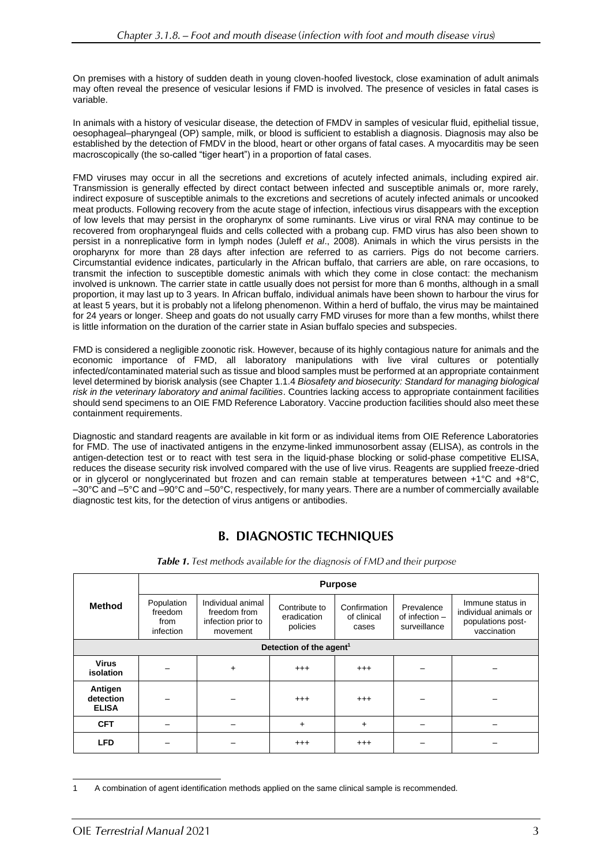On premises with a history of sudden death in young cloven-hoofed livestock, close examination of adult animals may often reveal the presence of vesicular lesions if FMD is involved. The presence of vesicles in fatal cases is variable.

In animals with a history of vesicular disease, the detection of FMDV in samples of vesicular fluid, epithelial tissue, oesophageal–pharyngeal (OP) sample, milk, or blood is sufficient to establish a diagnosis. Diagnosis may also be established by the detection of FMDV in the blood, heart or other organs of fatal cases. A myocarditis may be seen macroscopically (the so-called "tiger heart") in a proportion of fatal cases.

FMD viruses may occur in all the secretions and excretions of acutely infected animals, including expired air. Transmission is generally effected by direct contact between infected and susceptible animals or, more rarely, indirect exposure of susceptible animals to the excretions and secretions of acutely infected animals or uncooked meat products. Following recovery from the acute stage of infection, infectious virus disappears with the exception of low levels that may persist in the oropharynx of some ruminants. Live virus or viral RNA may continue to be recovered from oropharyngeal fluids and cells collected with a probang cup. FMD virus has also been shown to persist in a nonreplicative form in lymph nodes (Juleff *et al*., 2008). Animals in which the virus persists in the oropharynx for more than 28 days after infection are referred to as carriers. Pigs do not become carriers. Circumstantial evidence indicates, particularly in the African buffalo, that carriers are able, on rare occasions, to transmit the infection to susceptible domestic animals with which they come in close contact: the mechanism involved is unknown. The carrier state in cattle usually does not persist for more than 6 months, although in a small proportion, it may last up to 3 years. In African buffalo, individual animals have been shown to harbour the virus for at least 5 years, but it is probably not a lifelong phenomenon. Within a herd of buffalo, the virus may be maintained for 24 years or longer. Sheep and goats do not usually carry FMD viruses for more than a few months, whilst there is little information on the duration of the carrier state in Asian buffalo species and subspecies.

FMD is considered a negligible zoonotic risk. However, because of its highly contagious nature for animals and the economic importance of FMD, all laboratory manipulations with live viral cultures or potentially infected/contaminated material such as tissue and blood samples must be performed at an appropriate containment level determined by biorisk analysis (see Chapter 1.1.4 *Biosafety and biosecurity: Standard for managing biological risk in the veterinary laboratory and animal facilities*. Countries lacking access to appropriate containment facilities should send specimens to an OIE FMD Reference Laboratory. Vaccine production facilities should also meet these containment requirements.

Diagnostic and standard reagents are available in kit form or as individual items from OIE Reference Laboratories for FMD. The use of inactivated antigens in the enzyme-linked immunosorbent assay (ELISA), as controls in the antigen-detection test or to react with test sera in the liquid-phase blocking or solid-phase competitive ELISA, reduces the disease security risk involved compared with the use of live virus. Reagents are supplied freeze-dried or in glycerol or nonglycerinated but frozen and can remain stable at temperatures between +1°C and +8°C, –30°C and –5°C and –90°C and –50°C, respectively, for many years. There are a number of commercially available diagnostic test kits, for the detection of virus antigens or antibodies.

# **B. DIAGNOSTIC TECHNIQUES**

|                                      | <b>Purpose</b>                             |                                                                     |                                          |                                      |                                              |                                                                               |  |  |  |  |
|--------------------------------------|--------------------------------------------|---------------------------------------------------------------------|------------------------------------------|--------------------------------------|----------------------------------------------|-------------------------------------------------------------------------------|--|--|--|--|
| <b>Method</b>                        | Population<br>freedom<br>from<br>infection | Individual animal<br>freedom from<br>infection prior to<br>movement | Contribute to<br>eradication<br>policies | Confirmation<br>of clinical<br>cases | Prevalence<br>of infection -<br>surveillance | Immune status in<br>individual animals or<br>populations post-<br>vaccination |  |  |  |  |
| Detection of the agent <sup>1</sup>  |                                            |                                                                     |                                          |                                      |                                              |                                                                               |  |  |  |  |
| <b>Virus</b><br>isolation            |                                            | $+$                                                                 | $^{+++}$                                 | $^{++}$                              |                                              |                                                                               |  |  |  |  |
| Antigen<br>detection<br><b>ELISA</b> |                                            |                                                                     | $^{+++}$                                 | $^{+++}$                             |                                              |                                                                               |  |  |  |  |
| <b>CFT</b>                           |                                            |                                                                     | $+$                                      | $\ddot{}$                            |                                              |                                                                               |  |  |  |  |
| <b>LFD</b>                           |                                            |                                                                     | $^{+++}$                                 | $^{+++}$                             |                                              |                                                                               |  |  |  |  |

Table 1. Test methods available for the diagnosis of FMD and their purpose

<sup>1</sup> A combination of agent identification methods applied on the same clinical sample is recommended.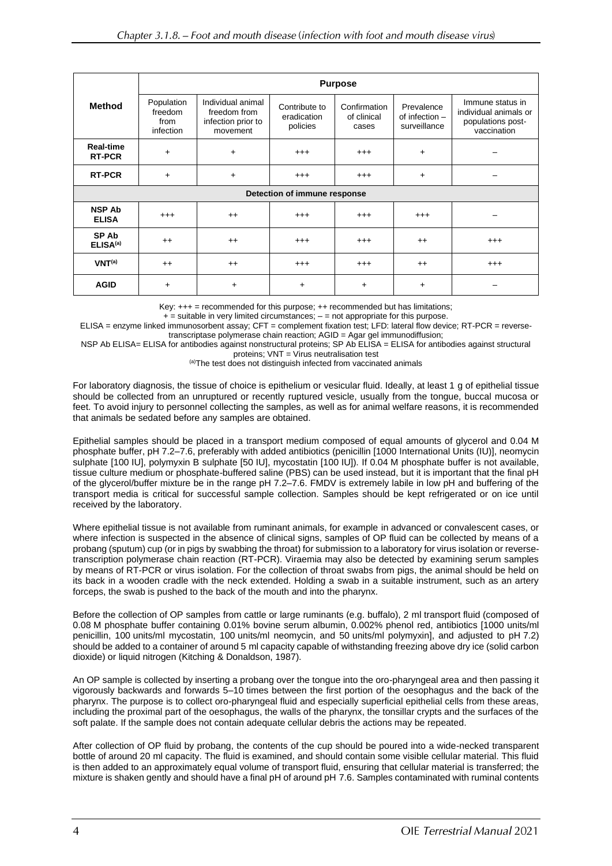| <b>Method</b>                        | <b>Purpose</b>                             |                                                                     |                                          |                                      |                                                |                                                                               |  |  |  |
|--------------------------------------|--------------------------------------------|---------------------------------------------------------------------|------------------------------------------|--------------------------------------|------------------------------------------------|-------------------------------------------------------------------------------|--|--|--|
|                                      | Population<br>freedom<br>from<br>infection | Individual animal<br>freedom from<br>infection prior to<br>movement | Contribute to<br>eradication<br>policies | Confirmation<br>of clinical<br>cases | Prevalence<br>of infection $-$<br>surveillance | Immune status in<br>individual animals or<br>populations post-<br>vaccination |  |  |  |
| <b>Real-time</b><br><b>RT-PCR</b>    | $\ddot{}$                                  | $\ddot{}$                                                           | $^{+++}$                                 | $^{+++}$                             | $\ddot{}$                                      |                                                                               |  |  |  |
| <b>RT-PCR</b>                        | $\ddot{}$                                  | $+$                                                                 | $^{+++}$                                 | $^{+++}$                             | $\ddot{}$                                      |                                                                               |  |  |  |
| Detection of immune response         |                                            |                                                                     |                                          |                                      |                                                |                                                                               |  |  |  |
| <b>NSP Ab</b><br><b>ELISA</b>        | $^{+++}$                                   | $++$                                                                | $^{+++}$                                 | $^{++}$                              | $^{+++}$                                       |                                                                               |  |  |  |
| <b>SP Ab</b><br>ELISA <sup>(a)</sup> | $++$                                       | $++$                                                                | $^{+++}$                                 | $^{+++}$                             | $++$                                           | $^{+++}$                                                                      |  |  |  |
| VNT <sup>(a)</sup>                   | $++$                                       | $++$                                                                | $^{+++}$                                 | $^{++}$                              | $^{++}$                                        | $^{+++}$                                                                      |  |  |  |
| <b>AGID</b>                          | $\ddot{}$                                  | $\ddot{}$                                                           | $\ddot{}$                                | $\ddot{}$                            | +                                              |                                                                               |  |  |  |

Key:  $+++$  = recommended for this purpose;  $++$  recommended but has limitations;

 $+$  = suitable in very limited circumstances;  $-$  = not appropriate for this purpose.

ELISA = enzyme linked immunosorbent assay; CFT = complement fixation test; LFD: lateral flow device; RT-PCR = reversetranscriptase polymerase chain reaction; AGID = Agar gel immunodiffusion;

NSP Ab ELISA= ELISA for antibodies against nonstructural proteins; SP Ab ELISA = ELISA for antibodies against structural proteins; VNT = Virus neutralisation test

(a)The test does not distinguish infected from vaccinated animals

For laboratory diagnosis, the tissue of choice is epithelium or vesicular fluid. Ideally, at least 1 g of epithelial tissue should be collected from an unruptured or recently ruptured vesicle, usually from the tongue, buccal mucosa or feet. To avoid injury to personnel collecting the samples, as well as for animal welfare reasons, it is recommended that animals be sedated before any samples are obtained.

Epithelial samples should be placed in a transport medium composed of equal amounts of glycerol and 0.04 M phosphate buffer, pH 7.2–7.6, preferably with added antibiotics (penicillin [1000 International Units (IU)], neomycin sulphate [100 IU], polymyxin B sulphate [50 IU], mycostatin [100 IU]). If 0.04 M phosphate buffer is not available, tissue culture medium or phosphate-buffered saline (PBS) can be used instead, but it is important that the final pH of the glycerol/buffer mixture be in the range pH 7.2–7.6. FMDV is extremely labile in low pH and buffering of the transport media is critical for successful sample collection. Samples should be kept refrigerated or on ice until received by the laboratory.

Where epithelial tissue is not available from ruminant animals, for example in advanced or convalescent cases, or where infection is suspected in the absence of clinical signs, samples of OP fluid can be collected by means of a probang (sputum) cup (or in pigs by swabbing the throat) for submission to a laboratory for virus isolation or reversetranscription polymerase chain reaction (RT-PCR). Viraemia may also be detected by examining serum samples by means of RT-PCR or virus isolation. For the collection of throat swabs from pigs, the animal should be held on its back in a wooden cradle with the neck extended. Holding a swab in a suitable instrument, such as an artery forceps, the swab is pushed to the back of the mouth and into the pharynx.

Before the collection of OP samples from cattle or large ruminants (e.g. buffalo), 2 ml transport fluid (composed of 0.08 M phosphate buffer containing 0.01% bovine serum albumin, 0.002% phenol red, antibiotics [1000 units/ml penicillin, 100 units/ml mycostatin, 100 units/ml neomycin, and 50 units/ml polymyxin], and adjusted to pH 7.2) should be added to a container of around 5 ml capacity capable of withstanding freezing above dry ice (solid carbon dioxide) or liquid nitrogen (Kitching & Donaldson, 1987).

An OP sample is collected by inserting a probang over the tongue into the oro-pharyngeal area and then passing it vigorously backwards and forwards 5–10 times between the first portion of the oesophagus and the back of the pharynx. The purpose is to collect oro-pharyngeal fluid and especially superficial epithelial cells from these areas, including the proximal part of the oesophagus, the walls of the pharynx, the tonsillar crypts and the surfaces of the soft palate. If the sample does not contain adequate cellular debris the actions may be repeated.

After collection of OP fluid by probang, the contents of the cup should be poured into a wide-necked transparent bottle of around 20 ml capacity. The fluid is examined, and should contain some visible cellular material. This fluid is then added to an approximately equal volume of transport fluid, ensuring that cellular material is transferred; the mixture is shaken gently and should have a final pH of around pH 7.6. Samples contaminated with ruminal contents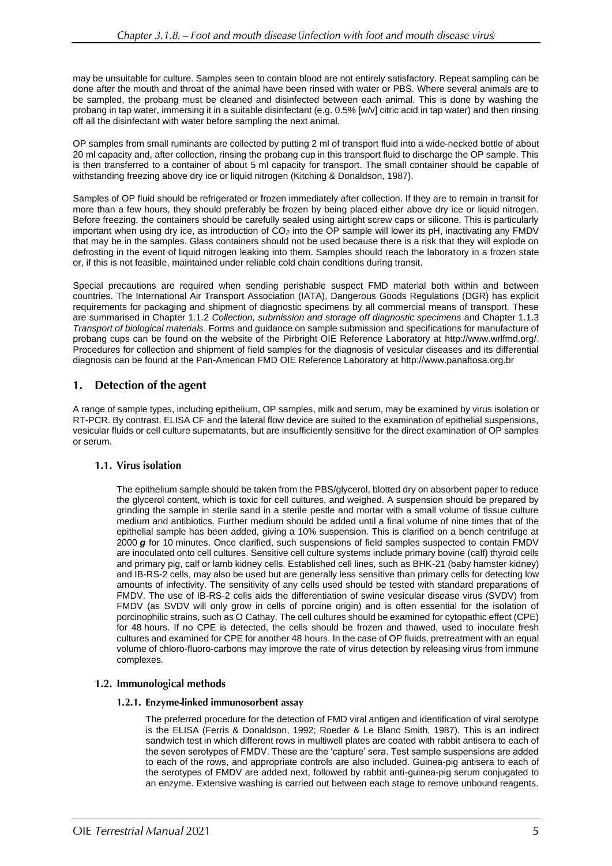may be unsuitable for culture. Samples seen to contain blood are not entirely satisfactory. Repeat sampling can be done after the mouth and throat of the animal have been rinsed with water or PBS. Where several animals are to be sampled, the probang must be cleaned and disinfected between each animal. This is done by washing the probang in tap water, immersing it in a suitable disinfectant (e.g. 0.5% [w/v] citric acid in tap water) and then rinsing off all the disinfectant with water before sampling the next animal.

OP samples from small ruminants are collected by putting 2 ml of transport fluid into a wide-necked bottle of about 20 ml capacity and, after collection, rinsing the probang cup in this transport fluid to discharge the OP sample. This is then transferred to a container of about 5 ml capacity for transport. The small container should be capable of withstanding freezing above dry ice or liquid nitrogen (Kitching & Donaldson, 1987).

Samples of OP fluid should be refrigerated or frozen immediately after collection. If they are to remain in transit for more than a few hours, they should preferably be frozen by being placed either above dry ice or liquid nitrogen. Before freezing, the containers should be carefully sealed using airtight screw caps or silicone. This is particularly important when using dry ice, as introduction of CO*<sup>2</sup>* into the OP sample will lower its pH, inactivating any FMDV that may be in the samples. Glass containers should not be used because there is a risk that they will explode on defrosting in the event of liquid nitrogen leaking into them. Samples should reach the laboratory in a frozen state or, if this is not feasible, maintained under reliable cold chain conditions during transit.

Special precautions are required when sending perishable suspect FMD material both within and between countries. The International Air Transport Association (IATA), Dangerous Goods Regulations (DGR) has explicit requirements for packaging and shipment of diagnostic specimens by all commercial means of transport. These are summarised in Chapter 1.1.2 *Collection, submission and storage off diagnostic specimens* and Chapter 1.1.3 *Transport of biological materials*. Forms and guidance on sample submission and specifications for manufacture of probang cups can be found on the website of the Pirbright OIE Reference Laboratory at [http://www.wrlfmd.org/.](http://www.wrlfmd.org/) Procedures for collection and shipment of field samples for the diagnosis of vesicular diseases and its differential diagnosis can be found at the Pan-American FMD OIE Reference Laboratory at [http://www.panaftosa.org.br](http://www.panaftosa.org.br/)

#### 1. Detection of the agent

A range of sample types, including epithelium, OP samples, milk and serum, may be examined by virus isolation or RT-PCR. By contrast, ELISA CF and the lateral flow device are suited to the examination of epithelial suspensions, vesicular fluids or cell culture supernatants, but are insufficiently sensitive for the direct examination of OP samples or serum.

# 1.1. Virus isolation

The epithelium sample should be taken from the PBS/glycerol, blotted dry on absorbent paper to reduce the glycerol content, which is toxic for cell cultures, and weighed. A suspension should be prepared by grinding the sample in sterile sand in a sterile pestle and mortar with a small volume of tissue culture medium and antibiotics. Further medium should be added until a final volume of nine times that of the epithelial sample has been added, giving a 10% suspension. This is clarified on a bench centrifuge at 2000 *g* for 10 minutes. Once clarified, such suspensions of field samples suspected to contain FMDV are inoculated onto cell cultures. Sensitive cell culture systems include primary bovine (calf) thyroid cells and primary pig, calf or lamb kidney cells. Established cell lines, such as BHK-21 (baby hamster kidney) and IB-RS-2 cells, may also be used but are generally less sensitive than primary cells for detecting low amounts of infectivity. The sensitivity of any cells used should be tested with standard preparations of FMDV. The use of IB-RS-2 cells aids the differentiation of swine vesicular disease virus (SVDV) from FMDV (as SVDV will only grow in cells of porcine origin) and is often essential for the isolation of porcinophilic strains, such as O Cathay. The cell cultures should be examined for cytopathic effect (CPE) for 48 hours. If no CPE is detected, the cells should be frozen and thawed, used to inoculate fresh cultures and examined for CPE for another 48 hours. In the case of OP fluids, pretreatment with an equal volume of chloro-fluoro-carbons may improve the rate of virus detection by releasing virus from immune complexes.

# 1.2. Immunological methods

# 1.2.1. Enzyme-linked immunosorbent assay

The preferred procedure for the detection of FMD viral antigen and identification of viral serotype is the ELISA (Ferris & Donaldson, 1992; Roeder & Le Blanc Smith, 1987). This is an indirect sandwich test in which different rows in multiwell plates are coated with rabbit antisera to each of the seven serotypes of FMDV. These are the 'capture' sera. Test sample suspensions are added to each of the rows, and appropriate controls are also included. Guinea-pig antisera to each of the serotypes of FMDV are added next, followed by rabbit anti-guinea-pig serum conjugated to an enzyme. Extensive washing is carried out between each stage to remove unbound reagents.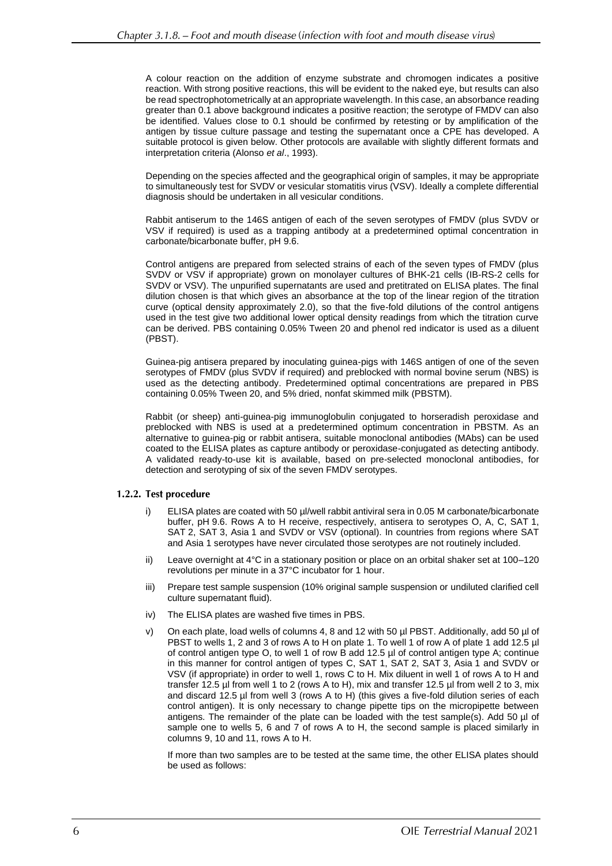A colour reaction on the addition of enzyme substrate and chromogen indicates a positive reaction. With strong positive reactions, this will be evident to the naked eye, but results can also be read spectrophotometrically at an appropriate wavelength. In this case, an absorbance reading greater than 0.1 above background indicates a positive reaction; the serotype of FMDV can also be identified. Values close to 0.1 should be confirmed by retesting or by amplification of the antigen by tissue culture passage and testing the supernatant once a CPE has developed. A suitable protocol is given below. Other protocols are available with slightly different formats and interpretation criteria (Alonso *et al*., 1993).

Depending on the species affected and the geographical origin of samples, it may be appropriate to simultaneously test for SVDV or vesicular stomatitis virus (VSV). Ideally a complete differential diagnosis should be undertaken in all vesicular conditions.

Rabbit antiserum to the 146S antigen of each of the seven serotypes of FMDV (plus SVDV or VSV if required) is used as a trapping antibody at a predetermined optimal concentration in carbonate/bicarbonate buffer, pH 9.6.

Control antigens are prepared from selected strains of each of the seven types of FMDV (plus SVDV or VSV if appropriate) grown on monolayer cultures of BHK-21 cells (IB-RS-2 cells for SVDV or VSV). The unpurified supernatants are used and pretitrated on ELISA plates. The final dilution chosen is that which gives an absorbance at the top of the linear region of the titration curve (optical density approximately 2.0), so that the five-fold dilutions of the control antigens used in the test give two additional lower optical density readings from which the titration curve can be derived. PBS containing 0.05% Tween 20 and phenol red indicator is used as a diluent (PBST).

Guinea-pig antisera prepared by inoculating guinea-pigs with 146S antigen of one of the seven serotypes of FMDV (plus SVDV if required) and preblocked with normal bovine serum (NBS) is used as the detecting antibody. Predetermined optimal concentrations are prepared in PBS containing 0.05% Tween 20, and 5% dried, nonfat skimmed milk (PBSTM).

Rabbit (or sheep) anti-guinea-pig immunoglobulin conjugated to horseradish peroxidase and preblocked with NBS is used at a predetermined optimum concentration in PBSTM. As an alternative to guinea-pig or rabbit antisera, suitable monoclonal antibodies (MAbs) can be used coated to the ELISA plates as capture antibody or peroxidase-conjugated as detecting antibody. A validated ready-to-use kit is available, based on pre-selected monoclonal antibodies, for detection and serotyping of six of the seven FMDV serotypes.

### 1.2.2. Test procedure

- i) ELISA plates are coated with 50 µl/well rabbit antiviral sera in 0.05 M carbonate/bicarbonate buffer, pH 9.6. Rows A to H receive, respectively, antisera to serotypes O, A, C, SAT 1, SAT 2, SAT 3, Asia 1 and SVDV or VSV (optional). In countries from regions where SAT and Asia 1 serotypes have never circulated those serotypes are not routinely included.
- ii) Leave overnight at 4°C in a stationary position or place on an orbital shaker set at 100–120 revolutions per minute in a 37°C incubator for 1 hour.
- iii) Prepare test sample suspension (10% original sample suspension or undiluted clarified cell culture supernatant fluid).
- iv) The ELISA plates are washed five times in PBS.
- v) On each plate, load wells of columns 4, 8 and 12 with 50 µl PBST. Additionally, add 50 µl of PBST to wells 1, 2 and 3 of rows A to H on plate 1. To well 1 of row A of plate 1 add 12.5 µl of control antigen type O, to well 1 of row B add 12.5 µl of control antigen type A; continue in this manner for control antigen of types C, SAT 1, SAT 2, SAT 3, Asia 1 and SVDV or VSV (if appropriate) in order to well 1, rows C to H. Mix diluent in well 1 of rows A to H and transfer 12.5 µl from well 1 to 2 (rows A to H), mix and transfer 12.5 µl from well 2 to 3, mix and discard 12.5 µl from well 3 (rows A to H) (this gives a five-fold dilution series of each control antigen). It is only necessary to change pipette tips on the micropipette between antigens. The remainder of the plate can be loaded with the test sample(s). Add 50 µl of sample one to wells 5, 6 and 7 of rows A to H, the second sample is placed similarly in columns 9, 10 and 11, rows A to H.

If more than two samples are to be tested at the same time, the other ELISA plates should be used as follows: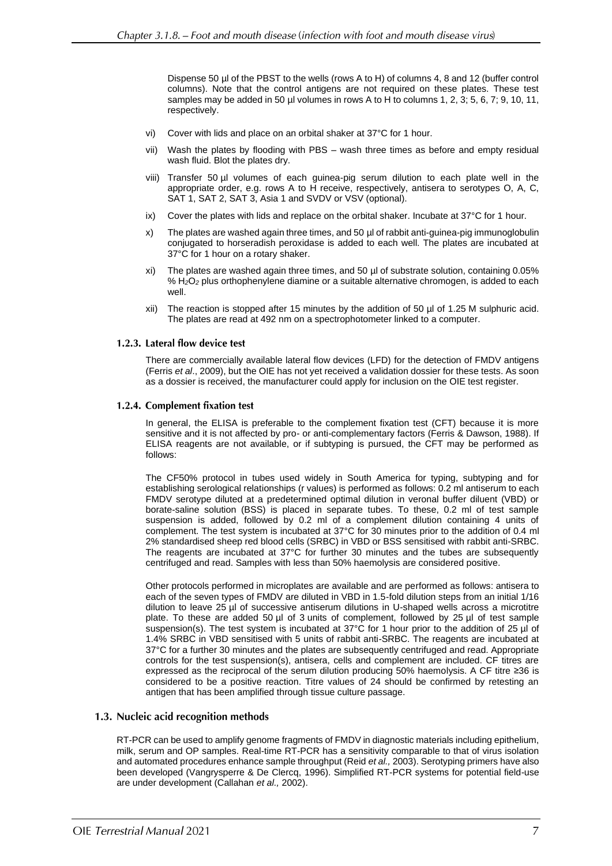Dispense 50 µl of the PBST to the wells (rows A to H) of columns 4, 8 and 12 (buffer control columns). Note that the control antigens are not required on these plates. These test samples may be added in 50 µl volumes in rows A to H to columns 1, 2, 3; 5, 6, 7; 9, 10, 11, respectively.

- vi) Cover with lids and place on an orbital shaker at 37°C for 1 hour.
- vii) Wash the plates by flooding with PBS wash three times as before and empty residual wash fluid. Blot the plates dry.
- viii) Transfer 50 µl volumes of each guinea-pig serum dilution to each plate well in the appropriate order, e.g. rows A to H receive, respectively, antisera to serotypes O, A, C, SAT 1, SAT 2, SAT 3, Asia 1 and SVDV or VSV (optional).
- ix) Cover the plates with lids and replace on the orbital shaker. Incubate at 37°C for 1 hour.
- x) The plates are washed again three times, and 50 µl of rabbit anti-guinea-pig immunoglobulin conjugated to horseradish peroxidase is added to each well. The plates are incubated at 37°C for 1 hour on a rotary shaker.
- xi) The plates are washed again three times, and 50 µl of substrate solution, containing 0.05% % H*2*O*<sup>2</sup>* plus orthophenylene diamine or a suitable alternative chromogen, is added to each well.
- xii) The reaction is stopped after 15 minutes by the addition of 50 µl of 1.25 M sulphuric acid. The plates are read at 492 nm on a spectrophotometer linked to a computer.

#### 1.2.3. Lateral flow device test

There are commercially available lateral flow devices (LFD) for the detection of FMDV antigens (Ferris *et al*., 2009), but the OIE has not yet received a validation dossier for these tests. As soon as a dossier is received, the manufacturer could apply for inclusion on the OIE test register.

#### 1.2.4. Complement fixation test

In general, the ELISA is preferable to the complement fixation test (CFT) because it is more sensitive and it is not affected by pro- or anti-complementary factors (Ferris & Dawson, 1988). If ELISA reagents are not available, or if subtyping is pursued, the CFT may be performed as follows:

The CF50% protocol in tubes used widely in South America for typing, subtyping and for establishing serological relationships (r values) is performed as follows: 0.2 ml antiserum to each FMDV serotype diluted at a predetermined optimal dilution in veronal buffer diluent (VBD) or borate-saline solution (BSS) is placed in separate tubes. To these, 0.2 ml of test sample suspension is added, followed by 0.2 ml of a complement dilution containing 4 units of complement. The test system is incubated at 37°C for 30 minutes prior to the addition of 0.4 ml 2% standardised sheep red blood cells (SRBC) in VBD or BSS sensitised with rabbit anti-SRBC. The reagents are incubated at 37°C for further 30 minutes and the tubes are subsequently centrifuged and read. Samples with less than 50% haemolysis are considered positive.

Other protocols performed in microplates are available and are performed as follows: antisera to each of the seven types of FMDV are diluted in VBD in 1.5-fold dilution steps from an initial 1/16 dilution to leave 25 µl of successive antiserum dilutions in U-shaped wells across a microtitre plate. To these are added 50 µl of 3 units of complement, followed by 25 µl of test sample suspension(s). The test system is incubated at 37°C for 1 hour prior to the addition of 25 µl of 1.4% SRBC in VBD sensitised with 5 units of rabbit anti-SRBC. The reagents are incubated at 37°C for a further 30 minutes and the plates are subsequently centrifuged and read. Appropriate controls for the test suspension(s), antisera, cells and complement are included. CF titres are expressed as the reciprocal of the serum dilution producing 50% haemolysis. A CF titre ≥36 is considered to be a positive reaction. Titre values of 24 should be confirmed by retesting an antigen that has been amplified through tissue culture passage.

## 1.3. Nucleic acid recognition methods

RT-PCR can be used to amplify genome fragments of FMDV in diagnostic materials including epithelium, milk, serum and OP samples. Real-time RT-PCR has a sensitivity comparable to that of virus isolation and automated procedures enhance sample throughput (Reid *et al.,* 2003). Serotyping primers have also been developed (Vangrysperre & De Clercq, 1996). Simplified RT-PCR systems for potential field-use are under development (Callahan *et al.,* 2002).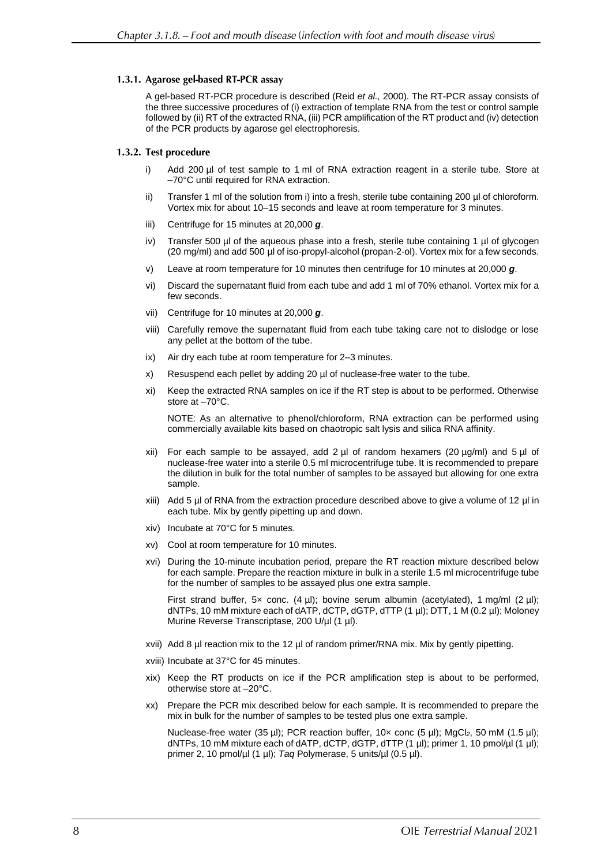### 1.3.1. Agarose gel-based RT-PCR assay

A gel-based RT-PCR procedure is described (Reid *et al.,* 2000). The RT-PCR assay consists of the three successive procedures of (i) extraction of template RNA from the test or control sample followed by (ii) RT of the extracted RNA, (iii) PCR amplification of the RT product and (iv) detection of the PCR products by agarose gel electrophoresis.

### 1.3.2. Test procedure

- i) Add 200 µl of test sample to 1 ml of RNA extraction reagent in a sterile tube. Store at –70°C until required for RNA extraction.
- ii) Transfer 1 ml of the solution from i) into a fresh, sterile tube containing 200 µl of chloroform. Vortex mix for about 10–15 seconds and leave at room temperature for 3 minutes.
- iii) Centrifuge for 15 minutes at 20,000 *g*.
- iv) Transfer 500  $\mu$  of the aqueous phase into a fresh, sterile tube containing 1  $\mu$  of glycogen (20 mg/ml) and add 500 µl of iso-propyl-alcohol (propan-2-ol). Vortex mix for a few seconds.
- v) Leave at room temperature for 10 minutes then centrifuge for 10 minutes at 20,000 *g*.
- vi) Discard the supernatant fluid from each tube and add 1 ml of 70% ethanol. Vortex mix for a few seconds.
- vii) Centrifuge for 10 minutes at 20,000 *g*.
- viii) Carefully remove the supernatant fluid from each tube taking care not to dislodge or lose any pellet at the bottom of the tube.
- ix) Air dry each tube at room temperature for 2–3 minutes.
- x) Resuspend each pellet by adding 20 µl of nuclease-free water to the tube.
- xi) Keep the extracted RNA samples on ice if the RT step is about to be performed. Otherwise store at –70°C.

NOTE: As an alternative to phenol/chloroform, RNA extraction can be performed using commercially available kits based on chaotropic salt lysis and silica RNA affinity.

- xii) For each sample to be assayed, add 2  $\mu$ l of random hexamers (20  $\mu$ g/ml) and 5  $\mu$ l of nuclease-free water into a sterile 0.5 ml microcentrifuge tube. It is recommended to prepare the dilution in bulk for the total number of samples to be assayed but allowing for one extra sample.
- xiii) Add 5 µl of RNA from the extraction procedure described above to give a volume of 12 µl in each tube. Mix by gently pipetting up and down.
- xiv) Incubate at 70°C for 5 minutes.
- xv) Cool at room temperature for 10 minutes.
- xvi) During the 10-minute incubation period, prepare the RT reaction mixture described below for each sample. Prepare the reaction mixture in bulk in a sterile 1.5 ml microcentrifuge tube for the number of samples to be assayed plus one extra sample.

First strand buffer, 5x conc.  $(4 \text{ µ})$ ; bovine serum albumin (acetylated), 1 mg/ml  $(2 \text{ µ})$ ; dNTPs, 10 mM mixture each of dATP, dCTP, dGTP, dTTP (1 µl); DTT, 1 M (0.2 µl); Moloney Murine Reverse Transcriptase, 200 U/µl (1 µl).

- xvii) Add 8 µl reaction mix to the 12 µl of random primer/RNA mix. Mix by gently pipetting.
- xviii) Incubate at 37°C for 45 minutes.
- xix) Keep the RT products on ice if the PCR amplification step is about to be performed, otherwise store at –20°C.
- xx) Prepare the PCR mix described below for each sample. It is recommended to prepare the mix in bulk for the number of samples to be tested plus one extra sample.

Nuclease-free water (35 µl); PCR reaction buffer, 10× conc (5 µl); MgCl*2*, 50 mM (1.5 µl); dNTPs, 10 mM mixture each of dATP, dCTP, dGTP, dTTP (1 µl); primer 1, 10 pmol/µl (1 µl); primer 2, 10 pmol/µl (1 µl); *Taq* Polymerase, 5 units/µl (0.5 µl).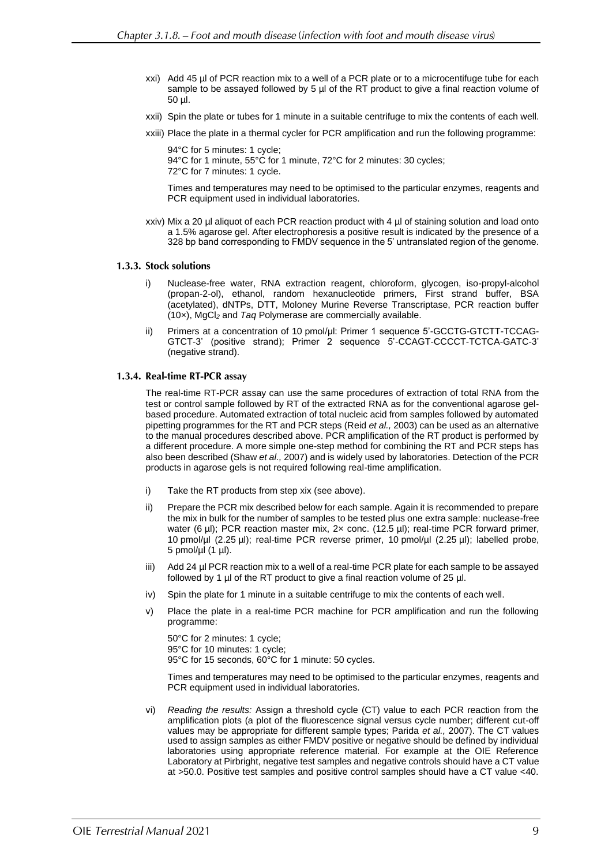- xxi) Add 45 µl of PCR reaction mix to a well of a PCR plate or to a microcentifuge tube for each sample to be assayed followed by 5 µl of the RT product to give a final reaction volume of 50 µl.
- xxii) Spin the plate or tubes for 1 minute in a suitable centrifuge to mix the contents of each well.
- xxiii) Place the plate in a thermal cycler for PCR amplification and run the following programme:

94°C for 5 minutes: 1 cycle; 94°C for 1 minute, 55°C for 1 minute, 72°C for 2 minutes: 30 cycles; 72°C for 7 minutes: 1 cycle.

Times and temperatures may need to be optimised to the particular enzymes, reagents and PCR equipment used in individual laboratories.

xxiv) Mix a 20 µl aliquot of each PCR reaction product with 4 µl of staining solution and load onto a 1.5% agarose gel. After electrophoresis a positive result is indicated by the presence of a 328 bp band corresponding to FMDV sequence in the 5' untranslated region of the genome.

#### 1.3.3. Stock solutions

- Nuclease-free water, RNA extraction reagent, chloroform, glycogen, iso-propyl-alcohol (propan-2-ol), ethanol, random hexanucleotide primers, First strand buffer, BSA (acetylated), dNTPs, DTT, Moloney Murine Reverse Transcriptase, PCR reaction buffer (10×), MgCl*<sup>2</sup>* and *Taq* Polymerase are commercially available.
- ii) Primers at a concentration of 10 pmol/µl: Primer 1 sequence 5'-GCCTG-GTCTT-TCCAG-GTCT-3' (positive strand); Primer 2 sequence 5'-CCAGT-CCCCT-TCTCA-GATC-3' (negative strand).

#### 1.3.4. Real-time RT-PCR assay

The real-time RT-PCR assay can use the same procedures of extraction of total RNA from the test or control sample followed by RT of the extracted RNA as for the conventional agarose gelbased procedure. Automated extraction of total nucleic acid from samples followed by automated pipetting programmes for the RT and PCR steps (Reid *et al.,* 2003) can be used as an alternative to the manual procedures described above. PCR amplification of the RT product is performed by a different procedure. A more simple one-step method for combining the RT and PCR steps has also been described (Shaw *et al.,* 2007) and is widely used by laboratories. Detection of the PCR products in agarose gels is not required following real-time amplification.

- i) Take the RT products from step xix (see above).
- ii) Prepare the PCR mix described below for each sample. Again it is recommended to prepare the mix in bulk for the number of samples to be tested plus one extra sample: nuclease-free water (6 µl); PCR reaction master mix, 2x conc. (12.5 µl); real-time PCR forward primer, 10 pmol/µl (2.25 µl); real-time PCR reverse primer, 10 pmol/µl (2.25 µl); labelled probe, 5 pmol/ $\mu$ l (1  $\mu$ l).
- iii) Add 24 µl PCR reaction mix to a well of a real-time PCR plate for each sample to be assayed followed by 1 µl of the RT product to give a final reaction volume of 25 µl.
- iv) Spin the plate for 1 minute in a suitable centrifuge to mix the contents of each well.
- v) Place the plate in a real-time PCR machine for PCR amplification and run the following programme:

50°C for 2 minutes: 1 cycle; 95°C for 10 minutes: 1 cycle; 95°C for 15 seconds, 60°C for 1 minute: 50 cycles.

Times and temperatures may need to be optimised to the particular enzymes, reagents and PCR equipment used in individual laboratories.

vi) *Reading the results:* Assign a threshold cycle (CT) value to each PCR reaction from the amplification plots (a plot of the fluorescence signal versus cycle number; different cut-off values may be appropriate for different sample types; Parida *et al.,* 2007). The CT values used to assign samples as either FMDV positive or negative should be defined by individual laboratories using appropriate reference material. For example at the OIE Reference Laboratory at Pirbright, negative test samples and negative controls should have a CT value at >50.0. Positive test samples and positive control samples should have a CT value <40.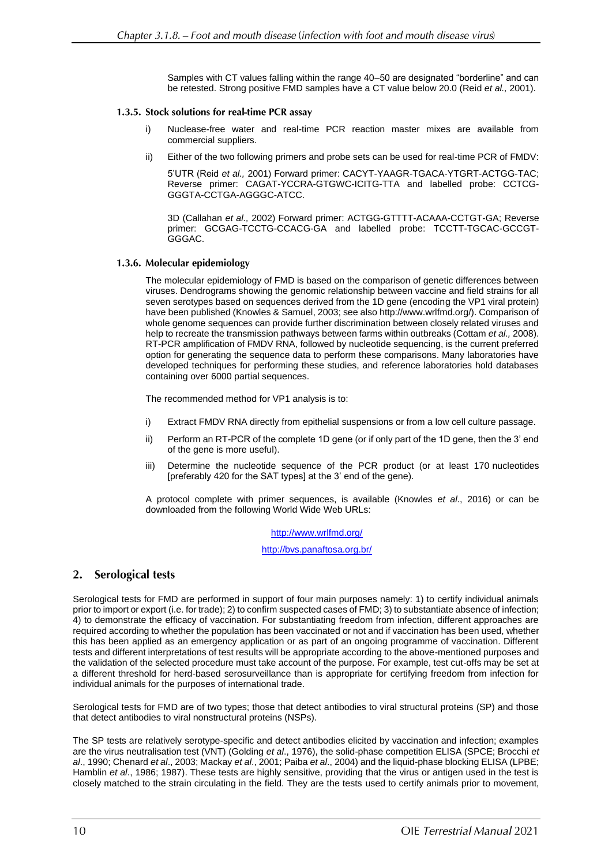Samples with CT values falling within the range 40–50 are designated "borderline" and can be retested. Strong positive FMD samples have a CT value below 20.0 (Reid *et al.,* 2001).

### 1.3.5. Stock solutions for real-time PCR assay

- Nuclease-free water and real-time PCR reaction master mixes are available from commercial suppliers.
- ii) Either of the two following primers and probe sets can be used for real-time PCR of FMDV:

5'UTR (Reid *et al.,* 2001) Forward primer: CACYT-YAAGR-TGACA-YTGRT-ACTGG-TAC; Reverse primer: CAGAT-YCCRA-GTGWC-ICITG-TTA and labelled probe: CCTCG-GGGTA-CCTGA-AGGGC-ATCC.

3D (Callahan *et al.,* 2002) Forward primer: ACTGG-GTTTT-ACAAA-CCTGT-GA; Reverse primer: GCGAG-TCCTG-CCACG-GA and labelled probe: TCCTT-TGCAC-GCCGT-GGGAC.

### 1.3.6. Molecular epidemiology

The molecular epidemiology of FMD is based on the comparison of genetic differences between viruses. Dendrograms showing the genomic relationship between vaccine and field strains for all seven serotypes based on sequences derived from the 1D gene (encoding the VP1 viral protein) have been published (Knowles & Samuel, 2003; see also http://www.wrlfmd.org/). Comparison of whole genome sequences can provide further discrimination between closely related viruses and help to recreate the transmission pathways between farms within outbreaks (Cottam *et al.,* 2008). RT-PCR amplification of FMDV RNA, followed by nucleotide sequencing, is the current preferred option for generating the sequence data to perform these comparisons. Many laboratories have developed techniques for performing these studies, and reference laboratories hold databases containing over 6000 partial sequences.

The recommended method for VP1 analysis is to:

- i) Extract FMDV RNA directly from epithelial suspensions or from a low cell culture passage.
- ii) Perform an RT-PCR of the complete 1D gene (or if only part of the 1D gene, then the 3' end of the gene is more useful).
- iii) Determine the nucleotide sequence of the PCR product (or at least 170 nucleotides [preferably 420 for the SAT types] at the 3' end of the gene).

A protocol complete with primer sequences, is available (Knowles *et al*., 2016) or can be downloaded from the following World Wide Web URLs:

<http://www.wrlfmd.org/>

<http://bvs.panaftosa.org.br/>

#### $2.$ **Serological tests**

Serological tests for FMD are performed in support of four main purposes namely: 1) to certify individual animals prior to import or export (i.e. for trade); 2) to confirm suspected cases of FMD; 3) to substantiate absence of infection; 4) to demonstrate the efficacy of vaccination. For substantiating freedom from infection, different approaches are required according to whether the population has been vaccinated or not and if vaccination has been used, whether this has been applied as an emergency application or as part of an ongoing programme of vaccination. Different tests and different interpretations of test results will be appropriate according to the above-mentioned purposes and the validation of the selected procedure must take account of the purpose. For example, test cut-offs may be set at a different threshold for herd-based serosurveillance than is appropriate for certifying freedom from infection for individual animals for the purposes of international trade.

Serological tests for FMD are of two types; those that detect antibodies to viral structural proteins (SP) and those that detect antibodies to viral nonstructural proteins (NSPs).

The SP tests are relatively serotype-specific and detect antibodies elicited by vaccination and infection; examples are the virus neutralisation test (VNT) (Golding *et al*., 1976), the solid-phase competition ELISA (SPCE; Brocchi *et al*., 1990; Chenard *et al*., 2003; Mackay *et al*., 2001; Paiba *et al*., 2004) and the liquid-phase blocking ELISA (LPBE; Hamblin *et al*., 1986; 1987). These tests are highly sensitive, providing that the virus or antigen used in the test is closely matched to the strain circulating in the field. They are the tests used to certify animals prior to movement,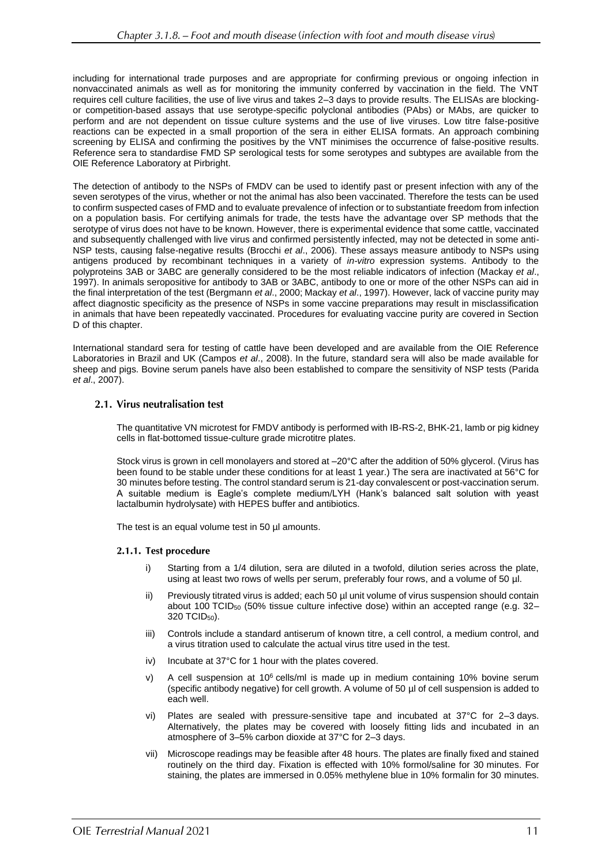including for international trade purposes and are appropriate for confirming previous or ongoing infection in nonvaccinated animals as well as for monitoring the immunity conferred by vaccination in the field. The VNT requires cell culture facilities, the use of live virus and takes 2–3 days to provide results. The ELISAs are blockingor competition-based assays that use serotype-specific polyclonal antibodies (PAbs) or MAbs, are quicker to perform and are not dependent on tissue culture systems and the use of live viruses. Low titre false-positive reactions can be expected in a small proportion of the sera in either ELISA formats. An approach combining screening by ELISA and confirming the positives by the VNT minimises the occurrence of false-positive results. Reference sera to standardise FMD SP serological tests for some serotypes and subtypes are available from the OIE Reference Laboratory at Pirbright.

The detection of antibody to the NSPs of FMDV can be used to identify past or present infection with any of the seven serotypes of the virus, whether or not the animal has also been vaccinated. Therefore the tests can be used to confirm suspected cases of FMD and to evaluate prevalence of infection or to substantiate freedom from infection on a population basis. For certifying animals for trade, the tests have the advantage over SP methods that the serotype of virus does not have to be known. However, there is experimental evidence that some cattle, vaccinated and subsequently challenged with live virus and confirmed persistently infected, may not be detected in some anti-NSP tests, causing false-negative results (Brocchi *et al*., 2006). These assays measure antibody to NSPs using antigens produced by recombinant techniques in a variety of *in-vitro* expression systems. Antibody to the polyproteins 3AB or 3ABC are generally considered to be the most reliable indicators of infection (Mackay *et al*., 1997). In animals seropositive for antibody to 3AB or 3ABC, antibody to one or more of the other NSPs can aid in the final interpretation of the test (Bergmann *et al*., 2000; Mackay *et al*., 1997). However, lack of vaccine purity may affect diagnostic specificity as the presence of NSPs in some vaccine preparations may result in misclassification in animals that have been repeatedly vaccinated. Procedures for evaluating vaccine purity are covered in Section D of this chapter.

International standard sera for testing of cattle have been developed and are available from the OIE Reference Laboratories in Brazil and UK (Campos *et al*., 2008). In the future, standard sera will also be made available for sheep and pigs. Bovine serum panels have also been established to compare the sensitivity of NSP tests (Parida *et al*., 2007).

### 2.1. Virus neutralisation test

The quantitative VN microtest for FMDV antibody is performed with IB-RS-2, BHK-21, lamb or pig kidney cells in flat-bottomed tissue-culture grade microtitre plates.

Stock virus is grown in cell monolayers and stored at –20°C after the addition of 50% glycerol. (Virus has been found to be stable under these conditions for at least 1 year.) The sera are inactivated at 56°C for 30 minutes before testing. The control standard serum is 21-day convalescent or post-vaccination serum. A suitable medium is Eagle's complete medium/LYH (Hank's balanced salt solution with yeast lactalbumin hydrolysate) with HEPES buffer and antibiotics.

The test is an equal volume test in 50 µl amounts.

### 2.1.1. Test procedure

- i) Starting from a 1/4 dilution, sera are diluted in a twofold, dilution series across the plate, using at least two rows of wells per serum, preferably four rows, and a volume of 50 µl.
- ii) Previously titrated virus is added; each 50 µl unit volume of virus suspension should contain about 100 TCID $_{50}$  (50% tissue culture infective dose) within an accepted range (e.g. 32– 320 TCID50).
- iii) Controls include a standard antiserum of known titre, a cell control, a medium control, and a virus titration used to calculate the actual virus titre used in the test.
- iv) Incubate at 37°C for 1 hour with the plates covered.
- v) A cell suspension at  $10^6$  cells/ml is made up in medium containing  $10\%$  bovine serum (specific antibody negative) for cell growth. A volume of 50 µl of cell suspension is added to each well.
- vi) Plates are sealed with pressure-sensitive tape and incubated at 37°C for 2–3 days. Alternatively, the plates may be covered with loosely fitting lids and incubated in an atmosphere of 3–5% carbon dioxide at 37°C for 2–3 days.
- vii) Microscope readings may be feasible after 48 hours. The plates are finally fixed and stained routinely on the third day. Fixation is effected with 10% formol/saline for 30 minutes. For staining, the plates are immersed in 0.05% methylene blue in 10% formalin for 30 minutes.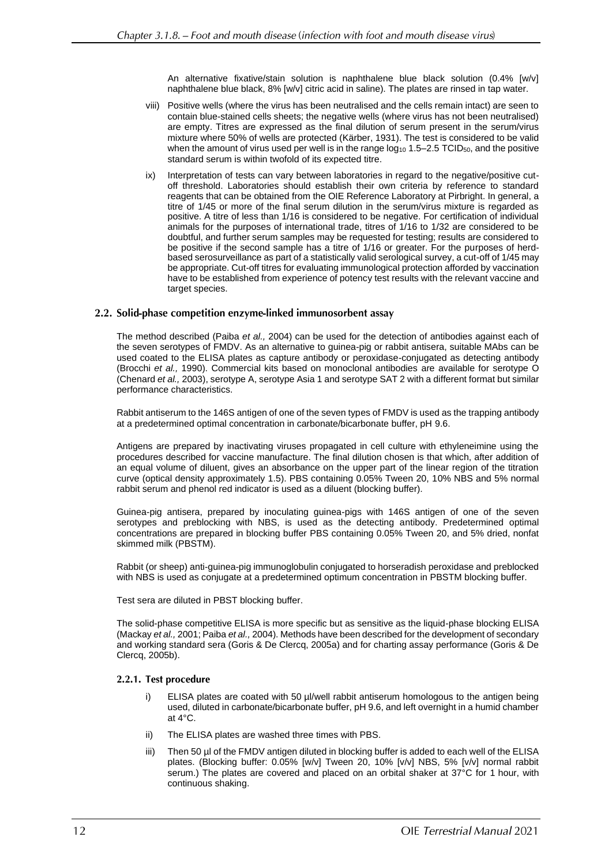An alternative fixative/stain solution is naphthalene blue black solution (0.4% [w/v] naphthalene blue black, 8% [w/v] citric acid in saline). The plates are rinsed in tap water.

- viii) Positive wells (where the virus has been neutralised and the cells remain intact) are seen to contain blue-stained cells sheets; the negative wells (where virus has not been neutralised) are empty. Titres are expressed as the final dilution of serum present in the serum/virus mixture where 50% of wells are protected (Kärber, 1931). The test is considered to be valid when the amount of virus used per well is in the range  $log_{10} 1.5-2.5$  TCID<sub>50</sub>, and the positive standard serum is within twofold of its expected titre.
- ix) Interpretation of tests can vary between laboratories in regard to the negative/positive cutoff threshold. Laboratories should establish their own criteria by reference to standard reagents that can be obtained from the OIE Reference Laboratory at Pirbright. In general, a titre of 1/45 or more of the final serum dilution in the serum/virus mixture is regarded as positive. A titre of less than 1/16 is considered to be negative. For certification of individual animals for the purposes of international trade, titres of 1/16 to 1/32 are considered to be doubtful, and further serum samples may be requested for testing; results are considered to be positive if the second sample has a titre of 1/16 or greater. For the purposes of herdbased serosurveillance as part of a statistically valid serological survey, a cut-off of 1/45 may be appropriate. Cut-off titres for evaluating immunological protection afforded by vaccination have to be established from experience of potency test results with the relevant vaccine and target species.

### 2.2. Solid-phase competition enzyme-linked immunosorbent assay

The method described (Paiba *et al.,* 2004) can be used for the detection of antibodies against each of the seven serotypes of FMDV. As an alternative to guinea-pig or rabbit antisera, suitable MAbs can be used coated to the ELISA plates as capture antibody or peroxidase-conjugated as detecting antibody (Brocchi *et al.,* 1990). Commercial kits based on monoclonal antibodies are available for serotype O (Chenard *et al.,* 2003), serotype A, serotype Asia 1 and serotype SAT 2 with a different format but similar performance characteristics.

Rabbit antiserum to the 146S antigen of one of the seven types of FMDV is used as the trapping antibody at a predetermined optimal concentration in carbonate/bicarbonate buffer, pH 9.6.

Antigens are prepared by inactivating viruses propagated in cell culture with ethyleneimine using the procedures described for vaccine manufacture. The final dilution chosen is that which, after addition of an equal volume of diluent, gives an absorbance on the upper part of the linear region of the titration curve (optical density approximately 1.5). PBS containing 0.05% Tween 20, 10% NBS and 5% normal rabbit serum and phenol red indicator is used as a diluent (blocking buffer).

Guinea-pig antisera, prepared by inoculating guinea-pigs with 146S antigen of one of the seven serotypes and preblocking with NBS, is used as the detecting antibody. Predetermined optimal concentrations are prepared in blocking buffer PBS containing 0.05% Tween 20, and 5% dried, nonfat skimmed milk (PBSTM).

Rabbit (or sheep) anti-guinea-pig immunoglobulin conjugated to horseradish peroxidase and preblocked with NBS is used as conjugate at a predetermined optimum concentration in PBSTM blocking buffer.

Test sera are diluted in PBST blocking buffer.

The solid-phase competitive ELISA is more specific but as sensitive as the liquid-phase blocking ELISA (Mackay *et al.,* 2001; Paiba *et al.,* 2004). Methods have been described for the development of secondary and working standard sera (Goris & De Clercq, 2005a) and for charting assay performance (Goris & De Clercq, 2005b).

### 2.2.1. Test procedure

- ELISA plates are coated with 50 µl/well rabbit antiserum homologous to the antigen being used, diluted in carbonate/bicarbonate buffer, pH 9.6, and left overnight in a humid chamber at 4°C.
- ii) The ELISA plates are washed three times with PBS.
- iii) Then 50 µl of the FMDV antigen diluted in blocking buffer is added to each well of the ELISA plates. (Blocking buffer: 0.05% [w/v] Tween 20, 10% [v/v] NBS, 5% [v/v] normal rabbit serum.) The plates are covered and placed on an orbital shaker at 37°C for 1 hour, with continuous shaking.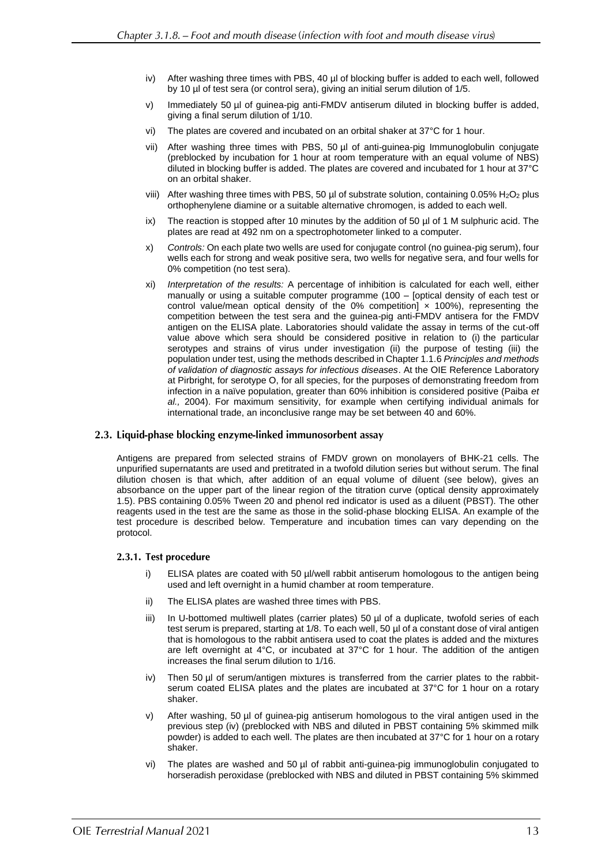- iv) After washing three times with PBS, 40 µl of blocking buffer is added to each well, followed by 10 µl of test sera (or control sera), giving an initial serum dilution of 1/5.
- v) Immediately 50 µl of guinea-pig anti-FMDV antiserum diluted in blocking buffer is added, giving a final serum dilution of 1/10.
- vi) The plates are covered and incubated on an orbital shaker at 37°C for 1 hour.
- vii) After washing three times with PBS, 50 µl of anti-guinea-pig Immunoglobulin conjugate (preblocked by incubation for 1 hour at room temperature with an equal volume of NBS) diluted in blocking buffer is added. The plates are covered and incubated for 1 hour at 37°C on an orbital shaker.
- viii) After washing three times with PBS, 50  $\mu$ l of substrate solution, containing 0.05% H<sub>2</sub>O<sub>2</sub> plus orthophenylene diamine or a suitable alternative chromogen, is added to each well.
- ix) The reaction is stopped after 10 minutes by the addition of 50  $\mu$  of 1 M sulphuric acid. The plates are read at 492 nm on a spectrophotometer linked to a computer.
- x) *Controls:* On each plate two wells are used for conjugate control (no guinea-pig serum), four wells each for strong and weak positive sera, two wells for negative sera, and four wells for 0% competition (no test sera).
- xi) *Interpretation of the results:* A percentage of inhibition is calculated for each well, either manually or using a suitable computer programme (100 – [optical density of each test or control value/mean optical density of the 0% competition]  $\times$  100%), representing the competition between the test sera and the guinea-pig anti-FMDV antisera for the FMDV antigen on the ELISA plate. Laboratories should validate the assay in terms of the cut-off value above which sera should be considered positive in relation to (i) the particular serotypes and strains of virus under investigation (ii) the purpose of testing (iii) the population under test, using the methods described in Chapter 1.1.6 *Principles and methods of validation of diagnostic assays for infectious diseases*. At the OIE Reference Laboratory at Pirbright, for serotype O, for all species, for the purposes of demonstrating freedom from infection in a naïve population, greater than 60% inhibition is considered positive (Paiba *et al.,* 2004). For maximum sensitivity, for example when certifying individual animals for international trade, an inconclusive range may be set between 40 and 60%.

## 2.3. Liquid-phase blocking enzyme-linked immunosorbent assay

Antigens are prepared from selected strains of FMDV grown on monolayers of BHK-21 cells. The unpurified supernatants are used and pretitrated in a twofold dilution series but without serum. The final dilution chosen is that which, after addition of an equal volume of diluent (see below), gives an absorbance on the upper part of the linear region of the titration curve (optical density approximately 1.5). PBS containing 0.05% Tween 20 and phenol red indicator is used as a diluent (PBST). The other reagents used in the test are the same as those in the solid-phase blocking ELISA. An example of the test procedure is described below. Temperature and incubation times can vary depending on the protocol.

### 2.3.1. Test procedure

- i) ELISA plates are coated with 50 µl/well rabbit antiserum homologous to the antigen being used and left overnight in a humid chamber at room temperature.
- ii) The ELISA plates are washed three times with PBS.
- iii) In U-bottomed multiwell plates (carrier plates) 50 µl of a duplicate, twofold series of each test serum is prepared, starting at 1/8. To each well, 50 µl of a constant dose of viral antigen that is homologous to the rabbit antisera used to coat the plates is added and the mixtures are left overnight at 4°C, or incubated at 37°C for 1 hour. The addition of the antigen increases the final serum dilution to 1/16.
- iv) Then 50 µl of serum/antigen mixtures is transferred from the carrier plates to the rabbitserum coated ELISA plates and the plates are incubated at 37°C for 1 hour on a rotary shaker.
- After washing, 50 µl of guinea-pig antiserum homologous to the viral antigen used in the previous step (iv) (preblocked with NBS and diluted in PBST containing 5% skimmed milk powder) is added to each well. The plates are then incubated at 37°C for 1 hour on a rotary shaker.
- vi) The plates are washed and 50 µl of rabbit anti-guinea-pig immunoglobulin conjugated to horseradish peroxidase (preblocked with NBS and diluted in PBST containing 5% skimmed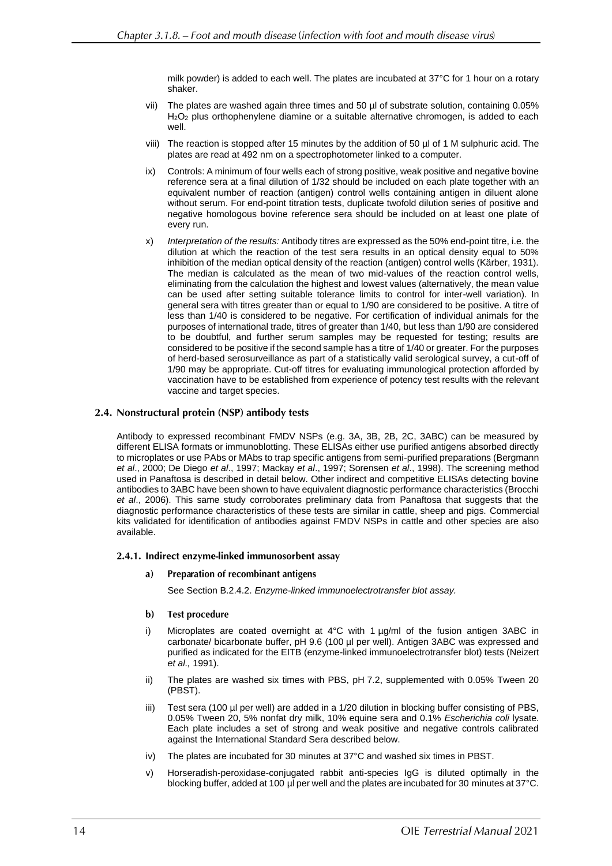milk powder) is added to each well. The plates are incubated at 37°C for 1 hour on a rotary shaker.

- vii) The plates are washed again three times and 50 µl of substrate solution, containing 0.05% H2O<sup>2</sup> plus orthophenylene diamine or a suitable alternative chromogen, is added to each well.
- viii) The reaction is stopped after 15 minutes by the addition of 50 µl of 1 M sulphuric acid. The plates are read at 492 nm on a spectrophotometer linked to a computer.
- ix) Controls: A minimum of four wells each of strong positive, weak positive and negative bovine reference sera at a final dilution of 1/32 should be included on each plate together with an equivalent number of reaction (antigen) control wells containing antigen in diluent alone without serum. For end-point titration tests, duplicate twofold dilution series of positive and negative homologous bovine reference sera should be included on at least one plate of every run.
- x) *Interpretation of the results:* Antibody titres are expressed as the 50% end-point titre, i.e. the dilution at which the reaction of the test sera results in an optical density equal to 50% inhibition of the median optical density of the reaction (antigen) control wells (Kärber, 1931). The median is calculated as the mean of two mid-values of the reaction control wells, eliminating from the calculation the highest and lowest values (alternatively, the mean value can be used after setting suitable tolerance limits to control for inter-well variation). In general sera with titres greater than or equal to 1/90 are considered to be positive. A titre of less than 1/40 is considered to be negative. For certification of individual animals for the purposes of international trade, titres of greater than 1/40, but less than 1/90 are considered to be doubtful, and further serum samples may be requested for testing; results are considered to be positive if the second sample has a titre of 1/40 or greater. For the purposes of herd-based serosurveillance as part of a statistically valid serological survey, a cut-off of 1/90 may be appropriate. Cut-off titres for evaluating immunological protection afforded by vaccination have to be established from experience of potency test results with the relevant vaccine and target species.

### 2.4. Nonstructural protein (NSP) antibody tests

Antibody to expressed recombinant FMDV NSPs (e.g. 3A, 3B, 2B, 2C, 3ABC) can be measured by different ELISA formats or immunoblotting. These ELISAs either use purified antigens absorbed directly to microplates or use PAbs or MAbs to trap specific antigens from semi-purified preparations (Bergmann *et al*., 2000; De Diego *et al*., 1997; Mackay *et al*., 1997; Sorensen *et al*., 1998). The screening method used in Panaftosa is described in detail below. Other indirect and competitive ELISAs detecting bovine antibodies to 3ABC have been shown to have equivalent diagnostic performance characteristics (Brocchi *et al*., 2006). This same study corroborates preliminary data from Panaftosa that suggests that the diagnostic performance characteristics of these tests are similar in cattle, sheep and pigs. Commercial kits validated for identification of antibodies against FMDV NSPs in cattle and other species are also available.

### 2.4.1. Indirect enzyme-linked immunosorbent assay

#### **Preparation of recombinant antigens** a)

See Section B.2.4.2. *Enzyme-linked immunoelectrotransfer blot assay.*

#### $\mathbf{b}$ **Test procedure**

- i) Microplates are coated overnight at  $4^{\circ}$ C with 1  $\mu$ g/ml of the fusion antigen 3ABC in carbonate/ bicarbonate buffer, pH 9.6 (100 µl per well). Antigen 3ABC was expressed and purified as indicated for the EITB (enzyme-linked immunoelectrotransfer blot) tests (Neizert *et al.,* 1991).
- ii) The plates are washed six times with PBS, pH 7.2, supplemented with 0.05% Tween 20 (PBST).
- iii) Test sera (100 µl per well) are added in a 1/20 dilution in blocking buffer consisting of PBS, 0.05% Tween 20, 5% nonfat dry milk, 10% equine sera and 0.1% *Escherichia coli* lysate. Each plate includes a set of strong and weak positive and negative controls calibrated against the International Standard Sera described below.
- iv) The plates are incubated for 30 minutes at 37°C and washed six times in PBST.
- v) Horseradish-peroxidase-conjugated rabbit anti-species IgG is diluted optimally in the blocking buffer, added at 100 µl per well and the plates are incubated for 30 minutes at 37°C.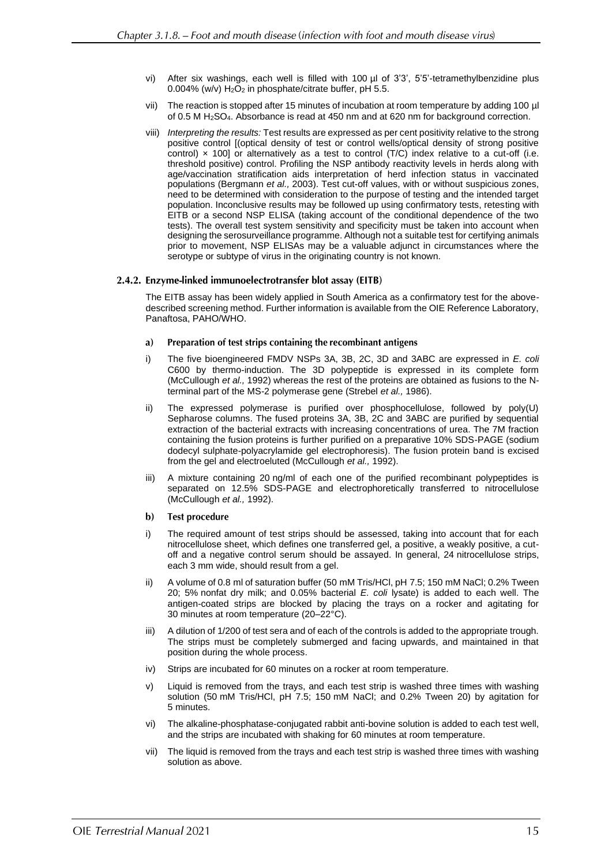- vi) After six washings, each well is filled with 100 µl of 3'3', 5'5'-tetramethylbenzidine plus 0.004% (w/v) H<sub>2</sub>O<sub>2</sub> in phosphate/citrate buffer, pH 5.5.
- vii) The reaction is stopped after 15 minutes of incubation at room temperature by adding 100 µl of 0.5 M H2SO4. Absorbance is read at 450 nm and at 620 nm for background correction.
- viii) *Interpreting the results:* Test results are expressed as per cent positivity relative to the strong positive control [(optical density of test or control wells/optical density of strong positive control)  $\times$  100] or alternatively as a test to control ( $T/C$ ) index relative to a cut-off (i.e. threshold positive) control. Profiling the NSP antibody reactivity levels in herds along with age/vaccination stratification aids interpretation of herd infection status in vaccinated populations (Bergmann *et al.,* 2003). Test cut-off values, with or without suspicious zones, need to be determined with consideration to the purpose of testing and the intended target population. Inconclusive results may be followed up using confirmatory tests, retesting with EITB or a second NSP ELISA (taking account of the conditional dependence of the two tests). The overall test system sensitivity and specificity must be taken into account when designing the serosurveillance programme. Although not a suitable test for certifying animals prior to movement, NSP ELISAs may be a valuable adjunct in circumstances where the serotype or subtype of virus in the originating country is not known.

#### 2.4.2. Enzyme-linked immunoelectrotransfer blot assay (EITB)

The EITB assay has been widely applied in South America as a confirmatory test for the abovedescribed screening method. Further information is available from the OIE Reference Laboratory, Panaftosa, PAHO/WHO.

- a) Preparation of test strips containing the recombinant antigens
- i) The five bioengineered FMDV NSPs 3A, 3B, 2C, 3D and 3ABC are expressed in *E. coli* C600 by thermo-induction. The 3D polypeptide is expressed in its complete form (McCullough *et al.,* 1992) whereas the rest of the proteins are obtained as fusions to the Nterminal part of the MS-2 polymerase gene (Strebel *et al.,* 1986).
- ii) The expressed polymerase is purified over phosphocellulose, followed by poly(U) Sepharose columns. The fused proteins 3A, 3B, 2C and 3ABC are purified by sequential extraction of the bacterial extracts with increasing concentrations of urea. The 7M fraction containing the fusion proteins is further purified on a preparative 10% SDS-PAGE (sodium dodecyl sulphate-polyacrylamide gel electrophoresis). The fusion protein band is excised from the gel and electroeluted (McCullough *et al.,* 1992).
- iii) A mixture containing 20 ng/ml of each one of the purified recombinant polypeptides is separated on 12.5% SDS-PAGE and electrophoretically transferred to nitrocellulose (McCullough *et al.,* 1992).
- $\mathbf{b}$ **Test procedure**
- i) The required amount of test strips should be assessed, taking into account that for each nitrocellulose sheet, which defines one transferred gel, a positive, a weakly positive, a cutoff and a negative control serum should be assayed. In general, 24 nitrocellulose strips, each 3 mm wide, should result from a gel.
- ii) A volume of 0.8 ml of saturation buffer (50 mM Tris/HCl, pH 7.5; 150 mM NaCl; 0.2% Tween 20; 5% nonfat dry milk; and 0.05% bacterial *E. coli* lysate) is added to each well. The antigen-coated strips are blocked by placing the trays on a rocker and agitating for 30 minutes at room temperature (20–22°C).
- iii) A dilution of 1/200 of test sera and of each of the controls is added to the appropriate trough. The strips must be completely submerged and facing upwards, and maintained in that position during the whole process.
- iv) Strips are incubated for 60 minutes on a rocker at room temperature.
- v) Liquid is removed from the trays, and each test strip is washed three times with washing solution (50 mM Tris/HCl, pH 7.5; 150 mM NaCl; and 0.2% Tween 20) by agitation for 5 minutes.
- vi) The alkaline-phosphatase-conjugated rabbit anti-bovine solution is added to each test well, and the strips are incubated with shaking for 60 minutes at room temperature.
- vii) The liquid is removed from the trays and each test strip is washed three times with washing solution as above.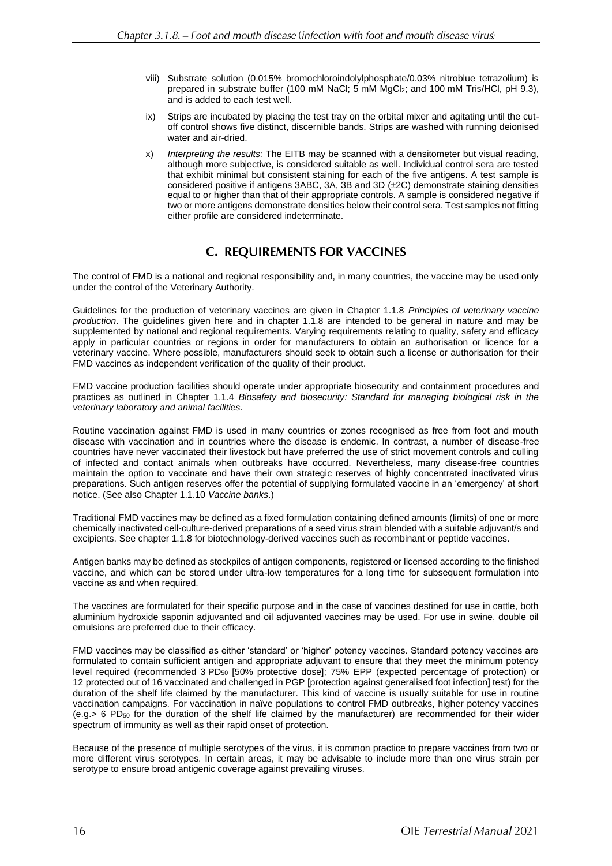- viii) Substrate solution (0.015% bromochloroindolylphosphate/0.03% nitroblue tetrazolium) is prepared in substrate buffer (100 mM NaCl; 5 mM MgCl2; and 100 mM Tris/HCl, pH 9.3), and is added to each test well.
- ix) Strips are incubated by placing the test tray on the orbital mixer and agitating until the cutoff control shows five distinct, discernible bands. Strips are washed with running deionised water and air-dried.
- x) *Interpreting the results:* The EITB may be scanned with a densitometer but visual reading, although more subjective, is considered suitable as well. Individual control sera are tested that exhibit minimal but consistent staining for each of the five antigens. A test sample is considered positive if antigens 3ABC, 3A, 3B and 3D (±2C) demonstrate staining densities equal to or higher than that of their appropriate controls. A sample is considered negative if two or more antigens demonstrate densities below their control sera. Test samples not fitting either profile are considered indeterminate.

# **C. REQUIREMENTS FOR VACCINES**

The control of FMD is a national and regional responsibility and, in many countries, the vaccine may be used only under the control of the Veterinary Authority.

Guidelines for the production of veterinary vaccines are given in Chapter 1.1.8 *Principles of veterinary vaccine production*. The guidelines given here and in chapter 1.1.8 are intended to be general in nature and may be supplemented by national and regional requirements. Varying requirements relating to quality, safety and efficacy apply in particular countries or regions in order for manufacturers to obtain an authorisation or licence for a veterinary vaccine. Where possible, manufacturers should seek to obtain such a license or authorisation for their FMD vaccines as independent verification of the quality of their product.

FMD vaccine production facilities should operate under appropriate biosecurity and containment procedures and practices as outlined in Chapter 1.1.4 *Biosafety and biosecurity: Standard for managing biological risk in the veterinary laboratory and animal facilities.*

Routine vaccination against FMD is used in many countries or zones recognised as free from foot and mouth disease with vaccination and in countries where the disease is endemic. In contrast, a number of disease-free countries have never vaccinated their livestock but have preferred the use of strict movement controls and culling of infected and contact animals when outbreaks have occurred. Nevertheless, many disease-free countries maintain the option to vaccinate and have their own strategic reserves of highly concentrated inactivated virus preparations. Such antigen reserves offer the potential of supplying formulated vaccine in an 'emergency' at short notice. (See also Chapter 1.1.10 *Vaccine banks*.)

Traditional FMD vaccines may be defined as a fixed formulation containing defined amounts (limits) of one or more chemically inactivated cell-culture-derived preparations of a seed virus strain blended with a suitable adjuvant/s and excipients. See chapter 1.1.8 for biotechnology-derived vaccines such as recombinant or peptide vaccines.

Antigen banks may be defined as stockpiles of antigen components, registered or licensed according to the finished vaccine, and which can be stored under ultra-low temperatures for a long time for subsequent formulation into vaccine as and when required.

The vaccines are formulated for their specific purpose and in the case of vaccines destined for use in cattle, both aluminium hydroxide saponin adjuvanted and oil adjuvanted vaccines may be used. For use in swine, double oil emulsions are preferred due to their efficacy.

FMD vaccines may be classified as either 'standard' or 'higher' potency vaccines. Standard potency vaccines are formulated to contain sufficient antigen and appropriate adjuvant to ensure that they meet the minimum potency level required (recommended 3 PD<sub>50</sub> [50% protective dose]; 75% EPP (expected percentage of protection) or 12 protected out of 16 vaccinated and challenged in PGP [protection against generalised foot infection] test) for the duration of the shelf life claimed by the manufacturer. This kind of vaccine is usually suitable for use in routine vaccination campaigns. For vaccination in naïve populations to control FMD outbreaks, higher potency vaccines (e.g.> 6 PD<sup>50</sup> for the duration of the shelf life claimed by the manufacturer) are recommended for their wider spectrum of immunity as well as their rapid onset of protection.

Because of the presence of multiple serotypes of the virus, it is common practice to prepare vaccines from two or more different virus serotypes. In certain areas, it may be advisable to include more than one virus strain per serotype to ensure broad antigenic coverage against prevailing viruses.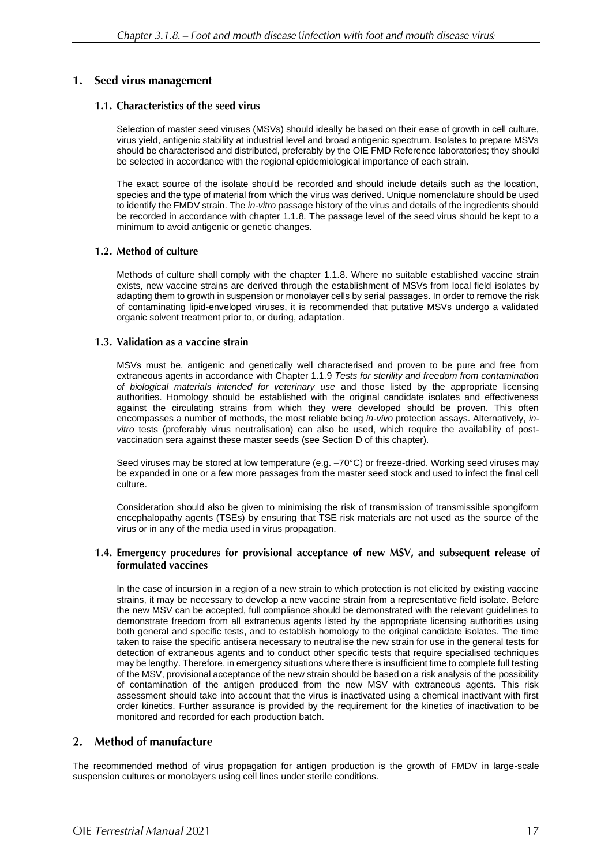# 1. Seed virus management

# 1.1. Characteristics of the seed virus

Selection of master seed viruses (MSVs) should ideally be based on their ease of growth in cell culture, virus yield, antigenic stability at industrial level and broad antigenic spectrum. Isolates to prepare MSVs should be characterised and distributed, preferably by the OIE FMD Reference laboratories; they should be selected in accordance with the regional epidemiological importance of each strain.

The exact source of the isolate should be recorded and should include details such as the location, species and the type of material from which the virus was derived. Unique nomenclature should be used to identify the FMDV strain. The *in-vitro* passage history of the virus and details of the ingredients should be recorded in accordance with chapter 1.1.8*.* The passage level of the seed virus should be kept to a minimum to avoid antigenic or genetic changes.

# 1.2. Method of culture

Methods of culture shall comply with the chapter 1.1.8. Where no suitable established vaccine strain exists, new vaccine strains are derived through the establishment of MSVs from local field isolates by adapting them to growth in suspension or monolayer cells by serial passages. In order to remove the risk of contaminating lipid-enveloped viruses, it is recommended that putative MSVs undergo a validated organic solvent treatment prior to, or during, adaptation.

# 1.3. Validation as a vaccine strain

MSVs must be, antigenic and genetically well characterised and proven to be pure and free from extraneous agents in accordance with Chapter 1.1.9 *Tests for sterility and freedom from contamination of biological materials intended for veterinary use* and those listed by the appropriate licensing authorities. Homology should be established with the original candidate isolates and effectiveness against the circulating strains from which they were developed should be proven. This often encompasses a number of methods, the most reliable being *in-vivo* protection assays. Alternatively, *invitro* tests (preferably virus neutralisation) can also be used, which require the availability of postvaccination sera against these master seeds (see Section D of this chapter).

Seed viruses may be stored at low temperature (e.g. –70°C) or freeze-dried. Working seed viruses may be expanded in one or a few more passages from the master seed stock and used to infect the final cell culture.

Consideration should also be given to minimising the risk of transmission of transmissible spongiform encephalopathy agents (TSEs) by ensuring that TSE risk materials are not used as the source of the virus or in any of the media used in virus propagation.

### 1.4. Emergency procedures for provisional acceptance of new MSV, and subsequent release of formulated vaccines

In the case of incursion in a region of a new strain to which protection is not elicited by existing vaccine strains, it may be necessary to develop a new vaccine strain from a representative field isolate. Before the new MSV can be accepted, full compliance should be demonstrated with the relevant guidelines to demonstrate freedom from all extraneous agents listed by the appropriate licensing authorities using both general and specific tests, and to establish homology to the original candidate isolates. The time taken to raise the specific antisera necessary to neutralise the new strain for use in the general tests for detection of extraneous agents and to conduct other specific tests that require specialised techniques may be lengthy. Therefore, in emergency situations where there is insufficient time to complete full testing of the MSV, provisional acceptance of the new strain should be based on a risk analysis of the possibility of contamination of the antigen produced from the new MSV with extraneous agents. This risk assessment should take into account that the virus is inactivated using a chemical inactivant with first order kinetics. Further assurance is provided by the requirement for the kinetics of inactivation to be monitored and recorded for each production batch.

#### **Method of manufacture**  $2.$

The recommended method of virus propagation for antigen production is the growth of FMDV in large-scale suspension cultures or monolayers using cell lines under sterile conditions.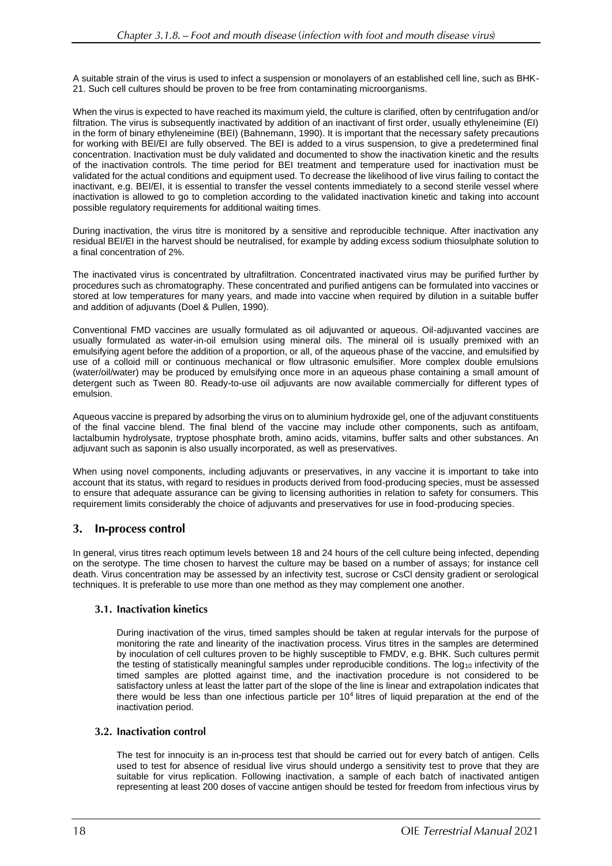A suitable strain of the virus is used to infect a suspension or monolayers of an established cell line, such as BHK-21. Such cell cultures should be proven to be free from contaminating microorganisms.

When the virus is expected to have reached its maximum yield, the culture is clarified, often by centrifugation and/or filtration. The virus is subsequently inactivated by addition of an inactivant of first order, usually ethyleneimine (EI) in the form of binary ethyleneimine (BEI) (Bahnemann, 1990). It is important that the necessary safety precautions for working with BEI/EI are fully observed. The BEI is added to a virus suspension, to give a predetermined final concentration. Inactivation must be duly validated and documented to show the inactivation kinetic and the results of the inactivation controls. The time period for BEI treatment and temperature used for inactivation must be validated for the actual conditions and equipment used. To decrease the likelihood of live virus failing to contact the inactivant, e.g. BEI/EI, it is essential to transfer the vessel contents immediately to a second sterile vessel where inactivation is allowed to go to completion according to the validated inactivation kinetic and taking into account possible regulatory requirements for additional waiting times.

During inactivation, the virus titre is monitored by a sensitive and reproducible technique. After inactivation any residual BEI/EI in the harvest should be neutralised, for example by adding excess sodium thiosulphate solution to a final concentration of 2%.

The inactivated virus is concentrated by ultrafiltration. Concentrated inactivated virus may be purified further by procedures such as chromatography. These concentrated and purified antigens can be formulated into vaccines or stored at low temperatures for many years, and made into vaccine when required by dilution in a suitable buffer and addition of adjuvants (Doel & Pullen, 1990).

Conventional FMD vaccines are usually formulated as oil adjuvanted or aqueous. Oil-adjuvanted vaccines are usually formulated as water-in-oil emulsion using mineral oils. The mineral oil is usually premixed with an emulsifying agent before the addition of a proportion, or all, of the aqueous phase of the vaccine, and emulsified by use of a colloid mill or continuous mechanical or flow ultrasonic emulsifier. More complex double emulsions (water/oil/water) may be produced by emulsifying once more in an aqueous phase containing a small amount of detergent such as Tween 80. Ready-to-use oil adjuvants are now available commercially for different types of emulsion.

Aqueous vaccine is prepared by adsorbing the virus on to aluminium hydroxide gel, one of the adjuvant constituents of the final vaccine blend. The final blend of the vaccine may include other components, such as antifoam, lactalbumin hydrolysate, tryptose phosphate broth, amino acids, vitamins, buffer salts and other substances. An adjuvant such as saponin is also usually incorporated, as well as preservatives.

When using novel components, including adjuvants or preservatives, in any vaccine it is important to take into account that its status, with regard to residues in products derived from food-producing species, must be assessed to ensure that adequate assurance can be giving to licensing authorities in relation to safety for consumers. This requirement limits considerably the choice of adjuvants and preservatives for use in food-producing species.

#### In-process control 3.

In general, virus titres reach optimum levels between 18 and 24 hours of the cell culture being infected, depending on the serotype. The time chosen to harvest the culture may be based on a number of assays; for instance cell death. Virus concentration may be assessed by an infectivity test, sucrose or CsCl density gradient or serological techniques. It is preferable to use more than one method as they may complement one another.

# 3.1. Inactivation kinetics

During inactivation of the virus, timed samples should be taken at regular intervals for the purpose of monitoring the rate and linearity of the inactivation process. Virus titres in the samples are determined by inoculation of cell cultures proven to be highly susceptible to FMDV, e.g. BHK. Such cultures permit the testing of statistically meaningful samples under reproducible conditions. The  $log_{10}$  infectivity of the timed samples are plotted against time, and the inactivation procedure is not considered to be satisfactory unless at least the latter part of the slope of the line is linear and extrapolation indicates that there would be less than one infectious particle per 10<sup>4</sup> litres of liquid preparation at the end of the inactivation period.

# 3.2. Inactivation control

The test for innocuity is an in-process test that should be carried out for every batch of antigen. Cells used to test for absence of residual live virus should undergo a sensitivity test to prove that they are suitable for virus replication. Following inactivation, a sample of each batch of inactivated antigen representing at least 200 doses of vaccine antigen should be tested for freedom from infectious virus by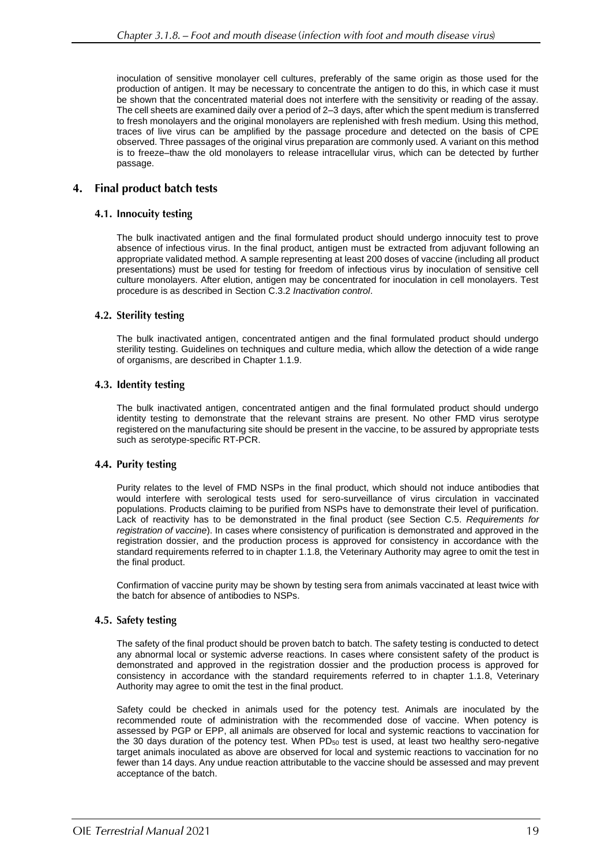inoculation of sensitive monolayer cell cultures, preferably of the same origin as those used for the production of antigen. It may be necessary to concentrate the antigen to do this, in which case it must be shown that the concentrated material does not interfere with the sensitivity or reading of the assay. The cell sheets are examined daily over a period of 2–3 days, after which the spent medium is transferred to fresh monolayers and the original monolayers are replenished with fresh medium. Using this method, traces of live virus can be amplified by the passage procedure and detected on the basis of CPE observed. Three passages of the original virus preparation are commonly used. A variant on this method is to freeze–thaw the old monolayers to release intracellular virus, which can be detected by further passage.

#### 4. **Final product batch tests**

### 4.1. Innocuity testing

The bulk inactivated antigen and the final formulated product should undergo innocuity test to prove absence of infectious virus. In the final product, antigen must be extracted from adjuvant following an appropriate validated method. A sample representing at least 200 doses of vaccine (including all product presentations) must be used for testing for freedom of infectious virus by inoculation of sensitive cell culture monolayers. After elution, antigen may be concentrated for inoculation in cell monolayers. Test procedure is as described in Section C.3.2 *Inactivation control*.

### 4.2. Sterility testing

The bulk inactivated antigen, concentrated antigen and the final formulated product should undergo sterility testing. Guidelines on techniques and culture media, which allow the detection of a wide range of organisms, are described in Chapter 1.1.9.

### 4.3. Identity testing

The bulk inactivated antigen, concentrated antigen and the final formulated product should undergo identity testing to demonstrate that the relevant strains are present. No other FMD virus serotype registered on the manufacturing site should be present in the vaccine, to be assured by appropriate tests such as serotype-specific RT-PCR.

### 4.4. Purity testing

Purity relates to the level of FMD NSPs in the final product, which should not induce antibodies that would interfere with serological tests used for sero-surveillance of virus circulation in vaccinated populations. Products claiming to be purified from NSPs have to demonstrate their level of purification. Lack of reactivity has to be demonstrated in the final product (see Section C.5. *Requirements for registration of vaccine*). In cases where consistency of purification is demonstrated and approved in the registration dossier, and the production process is approved for consistency in accordance with the standard requirements referred to in chapter 1.1.8*,* the Veterinary Authority may agree to omit the test in the final product.

Confirmation of vaccine purity may be shown by testing sera from animals vaccinated at least twice with the batch for absence of antibodies to NSPs.

### 4.5. Safety testing

The safety of the final product should be proven batch to batch. The safety testing is conducted to detect any abnormal local or systemic adverse reactions. In cases where consistent safety of the product is demonstrated and approved in the registration dossier and the production process is approved for consistency in accordance with the standard requirements referred to in chapter 1.1.8, Veterinary Authority may agree to omit the test in the final product.

Safety could be checked in animals used for the potency test. Animals are inoculated by the recommended route of administration with the recommended dose of vaccine. When potency is assessed by PGP or EPP, all animals are observed for local and systemic reactions to vaccination for the 30 days duration of the potency test. When  $PD_{50}$  test is used, at least two healthy sero-negative target animals inoculated as above are observed for local and systemic reactions to vaccination for no fewer than 14 days. Any undue reaction attributable to the vaccine should be assessed and may prevent acceptance of the batch.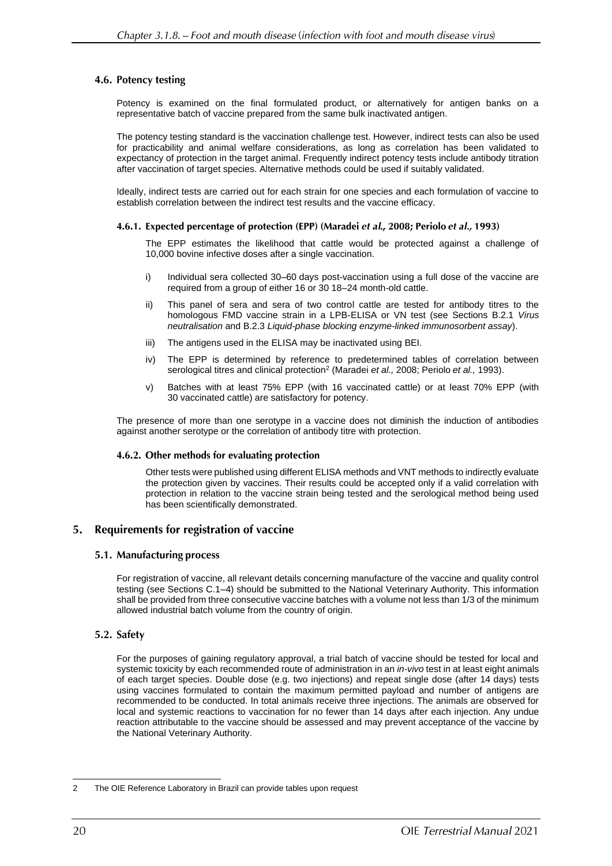# 4.6. Potency testing

Potency is examined on the final formulated product, or alternatively for antigen banks on a representative batch of vaccine prepared from the same bulk inactivated antigen.

The potency testing standard is the vaccination challenge test. However, indirect tests can also be used for practicability and animal welfare considerations, as long as correlation has been validated to expectancy of protection in the target animal. Frequently indirect potency tests include antibody titration after vaccination of target species. Alternative methods could be used if suitably validated.

Ideally, indirect tests are carried out for each strain for one species and each formulation of vaccine to establish correlation between the indirect test results and the vaccine efficacy.

### 4.6.1. Expected percentage of protection (EPP) (Maradei et al., 2008; Periolo et al., 1993)

The EPP estimates the likelihood that cattle would be protected against a challenge of 10,000 bovine infective doses after a single vaccination.

- i) Individual sera collected 30–60 days post-vaccination using a full dose of the vaccine are required from a group of either 16 or 30 18–24 month-old cattle.
- ii) This panel of sera and sera of two control cattle are tested for antibody titres to the homologous FMD vaccine strain in a LPB-ELISA or VN test (see Sections B.2.1 *Virus neutralisation* and B.2.3 *Liquid-phase blocking enzyme-linked immunosorbent assay*).
- iii) The antigens used in the ELISA may be inactivated using BEI.
- iv) The EPP is determined by reference to predetermined tables of correlation between serological titres and clinical protection<sup>2</sup> (Maradei *et al.,* 2008; Periolo *et al.,* 1993).
- v) Batches with at least 75% EPP (with 16 vaccinated cattle) or at least 70% EPP (with 30 vaccinated cattle) are satisfactory for potency.

The presence of more than one serotype in a vaccine does not diminish the induction of antibodies against another serotype or the correlation of antibody titre with protection.

### 4.6.2. Other methods for evaluating protection

Other tests were published using different ELISA methods and VNT methods to indirectly evaluate the protection given by vaccines. Their results could be accepted only if a valid correlation with protection in relation to the vaccine strain being tested and the serological method being used has been scientifically demonstrated.

#### Requirements for registration of vaccine  $5.$

# 5.1. Manufacturing process

For registration of vaccine, all relevant details concerning manufacture of the vaccine and quality control testing (see Sections C.1–4) should be submitted to the National Veterinary Authority. This information shall be provided from three consecutive vaccine batches with a volume not less than 1/3 of the minimum allowed industrial batch volume from the country of origin.

# 5.2. Safety

For the purposes of gaining regulatory approval, a trial batch of vaccine should be tested for local and systemic toxicity by each recommended route of administration in an *in-vivo* test in at least eight animals of each target species. Double dose (e.g. two injections) and repeat single dose (after 14 days) tests using vaccines formulated to contain the maximum permitted payload and number of antigens are recommended to be conducted. In total animals receive three injections. The animals are observed for local and systemic reactions to vaccination for no fewer than 14 days after each injection. Any undue reaction attributable to the vaccine should be assessed and may prevent acceptance of the vaccine by the National Veterinary Authority.

<sup>2</sup> The OIE Reference Laboratory in Brazil can provide tables upon request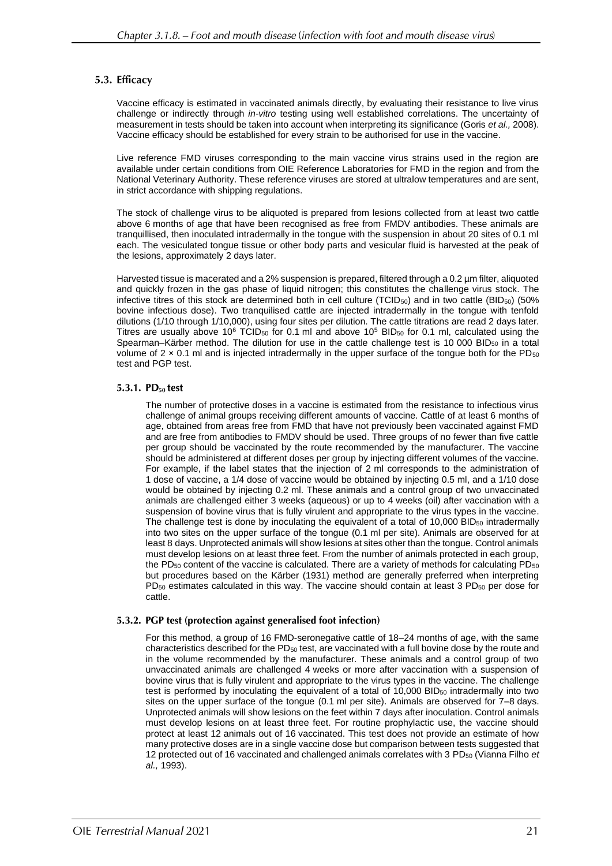# 5.3. Efficacy

Vaccine efficacy is estimated in vaccinated animals directly, by evaluating their resistance to live virus challenge or indirectly through *in-vitro* testing using well established correlations. The uncertainty of measurement in tests should be taken into account when interpreting its significance (Goris *et al.,* 2008). Vaccine efficacy should be established for every strain to be authorised for use in the vaccine.

Live reference FMD viruses corresponding to the main vaccine virus strains used in the region are available under certain conditions from OIE Reference Laboratories for FMD in the region and from the National Veterinary Authority. These reference viruses are stored at ultralow temperatures and are sent, in strict accordance with shipping regulations.

The stock of challenge virus to be aliquoted is prepared from lesions collected from at least two cattle above 6 months of age that have been recognised as free from FMDV antibodies. These animals are tranquillised, then inoculated intradermally in the tongue with the suspension in about 20 sites of 0.1 ml each. The vesiculated tongue tissue or other body parts and vesicular fluid is harvested at the peak of the lesions, approximately 2 days later.

Harvested tissue is macerated and a 2% suspension is prepared, filtered through a 0.2 µm filter, aliquoted and quickly frozen in the gas phase of liquid nitrogen; this constitutes the challenge virus stock. The infective titres of this stock are determined both in cell culture ( $TCID<sub>50</sub>$ ) and in two cattle ( $BID<sub>50</sub>$ ) (50% bovine infectious dose). Two tranquilised cattle are injected intradermally in the tongue with tenfold dilutions (1/10 through 1/10,000), using four sites per dilution. The cattle titrations are read 2 days later. Titres are usually above 10<sup>6</sup> TCID<sub>50</sub> for 0.1 ml and above 10<sup>5</sup> BID<sub>50</sub> for 0.1 ml, calculated using the Spearman–Kärber method. The dilution for use in the cattle challenge test is 10 000 BID $_{50}$  in a total volume of  $2 \times 0.1$  ml and is injected intradermally in the upper surface of the tongue both for the PD<sub>50</sub> test and PGP test.

### 5.3.1. PD<sub>50</sub> test

The number of protective doses in a vaccine is estimated from the resistance to infectious virus challenge of animal groups receiving different amounts of vaccine. Cattle of at least 6 months of age, obtained from areas free from FMD that have not previously been vaccinated against FMD and are free from antibodies to FMDV should be used. Three groups of no fewer than five cattle per group should be vaccinated by the route recommended by the manufacturer. The vaccine should be administered at different doses per group by injecting different volumes of the vaccine. For example, if the label states that the injection of 2 ml corresponds to the administration of 1 dose of vaccine, a 1/4 dose of vaccine would be obtained by injecting 0.5 ml, and a 1/10 dose would be obtained by injecting 0.2 ml. These animals and a control group of two unvaccinated animals are challenged either 3 weeks (aqueous) or up to 4 weeks (oil) after vaccination with a suspension of bovine virus that is fully virulent and appropriate to the virus types in the vaccine. The challenge test is done by inoculating the equivalent of a total of  $10,000$  BID<sub>50</sub> intradermally into two sites on the upper surface of the tongue (0.1 ml per site). Animals are observed for at least 8 days. Unprotected animals will show lesions at sites other than the tongue. Control animals must develop lesions on at least three feet. From the number of animals protected in each group, the PD $_{50}$  content of the vaccine is calculated. There are a variety of methods for calculating PD $_{50}$ but procedures based on the Kärber (1931) method are generally preferred when interpreting PD<sub>50</sub> estimates calculated in this way. The vaccine should contain at least 3 PD<sub>50</sub> per dose for cattle.

### 5.3.2. PGP test (protection against generalised foot infection)

For this method, a group of 16 FMD-seronegative cattle of 18–24 months of age, with the same characteristics described for the PD<sub>50</sub> test, are vaccinated with a full bovine dose by the route and in the volume recommended by the manufacturer. These animals and a control group of two unvaccinated animals are challenged 4 weeks or more after vaccination with a suspension of bovine virus that is fully virulent and appropriate to the virus types in the vaccine. The challenge test is performed by inoculating the equivalent of a total of  $10,000$  BID<sub>50</sub> intradermally into two sites on the upper surface of the tongue (0.1 ml per site). Animals are observed for 7–8 days. Unprotected animals will show lesions on the feet within 7 days after inoculation. Control animals must develop lesions on at least three feet. For routine prophylactic use, the vaccine should protect at least 12 animals out of 16 vaccinated. This test does not provide an estimate of how many protective doses are in a single vaccine dose but comparison between tests suggested that 12 protected out of 16 vaccinated and challenged animals correlates with 3 PD<sub>50</sub> (Vianna Filho *et al.,* 1993).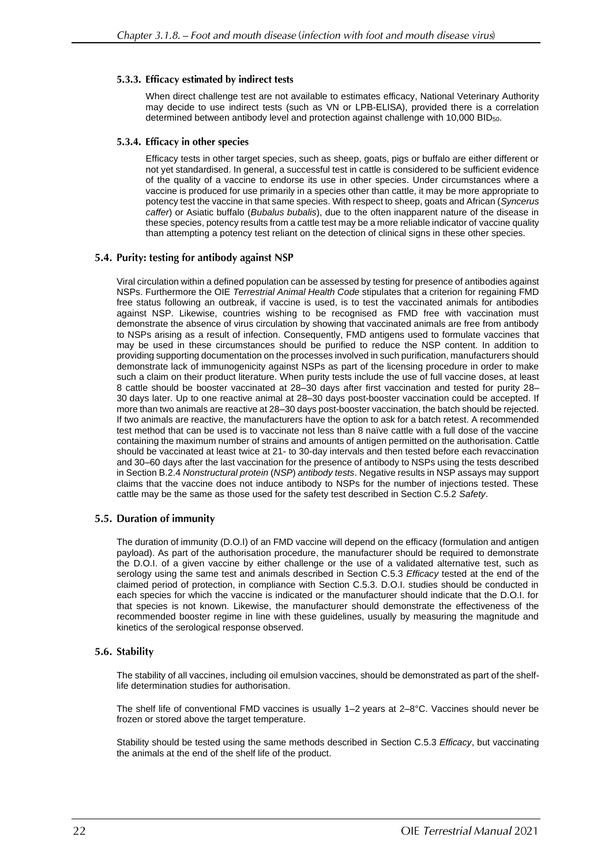### 5.3.3. Efficacy estimated by indirect tests

When direct challenge test are not available to estimates efficacy, National Veterinary Authority may decide to use indirect tests (such as VN or LPB-ELISA), provided there is a correlation determined between antibody level and protection against challenge with 10,000 BID50.

### 5.3.4. Efficacy in other species

Efficacy tests in other target species, such as sheep, goats, pigs or buffalo are either different or not yet standardised. In general, a successful test in cattle is considered to be sufficient evidence of the quality of a vaccine to endorse its use in other species. Under circumstances where a vaccine is produced for use primarily in a species other than cattle, it may be more appropriate to potency test the vaccine in that same species. With respect to sheep, goats and African (*Syncerus caffer*) or Asiatic buffalo (*Bubalus bubalis*), due to the often inapparent nature of the disease in these species, potency results from a cattle test may be a more reliable indicator of vaccine quality than attempting a potency test reliant on the detection of clinical signs in these other species.

### 5.4. Purity: testing for antibody against NSP

Viral circulation within a defined population can be assessed by testing for presence of antibodies against NSPs. Furthermore the OIE *Terrestrial Animal Health Code* stipulates that a criterion for regaining FMD free status following an outbreak, if vaccine is used, is to test the vaccinated animals for antibodies against NSP. Likewise, countries wishing to be recognised as FMD free with vaccination must demonstrate the absence of virus circulation by showing that vaccinated animals are free from antibody to NSPs arising as a result of infection. Consequently, FMD antigens used to formulate vaccines that may be used in these circumstances should be purified to reduce the NSP content. In addition to providing supporting documentation on the processes involved in such purification, manufacturers should demonstrate lack of immunogenicity against NSPs as part of the licensing procedure in order to make such a claim on their product literature. When purity tests include the use of full vaccine doses, at least 8 cattle should be booster vaccinated at 28–30 days after first vaccination and tested for purity 28– 30 days later. Up to one reactive animal at 28–30 days post-booster vaccination could be accepted. If more than two animals are reactive at 28–30 days post-booster vaccination, the batch should be rejected. If two animals are reactive, the manufacturers have the option to ask for a batch retest. A recommended test method that can be used is to vaccinate not less than 8 naïve cattle with a full dose of the vaccine containing the maximum number of strains and amounts of antigen permitted on the authorisation. Cattle should be vaccinated at least twice at 21- to 30-day intervals and then tested before each revaccination and 30–60 days after the last vaccination for the presence of antibody to NSPs using the tests described in Section B.2.4 *Nonstructural protein* (*NSP*) *antibody tests*. Negative results in NSP assays may support claims that the vaccine does not induce antibody to NSPs for the number of injections tested. These cattle may be the same as those used for the safety test described in Section C.5.2 *Safety*.

### 5.5. Duration of immunity

The duration of immunity (D.O.I) of an FMD vaccine will depend on the efficacy (formulation and antigen payload). As part of the authorisation procedure, the manufacturer should be required to demonstrate the D.O.I. of a given vaccine by either challenge or the use of a validated alternative test, such as serology using the same test and animals described in Section C.5.3 *Efficacy* tested at the end of the claimed period of protection, in compliance with Section C.5.3. D.O.I. studies should be conducted in each species for which the vaccine is indicated or the manufacturer should indicate that the D.O.I. for that species is not known. Likewise, the manufacturer should demonstrate the effectiveness of the recommended booster regime in line with these guidelines, usually by measuring the magnitude and kinetics of the serological response observed.

### 5.6. Stability

The stability of all vaccines, including oil emulsion vaccines, should be demonstrated as part of the shelflife determination studies for authorisation.

The shelf life of conventional FMD vaccines is usually 1–2 years at 2–8°C. Vaccines should never be frozen or stored above the target temperature.

Stability should be tested using the same methods described in Section C.5.3 *Efficacy*, but vaccinating the animals at the end of the shelf life of the product.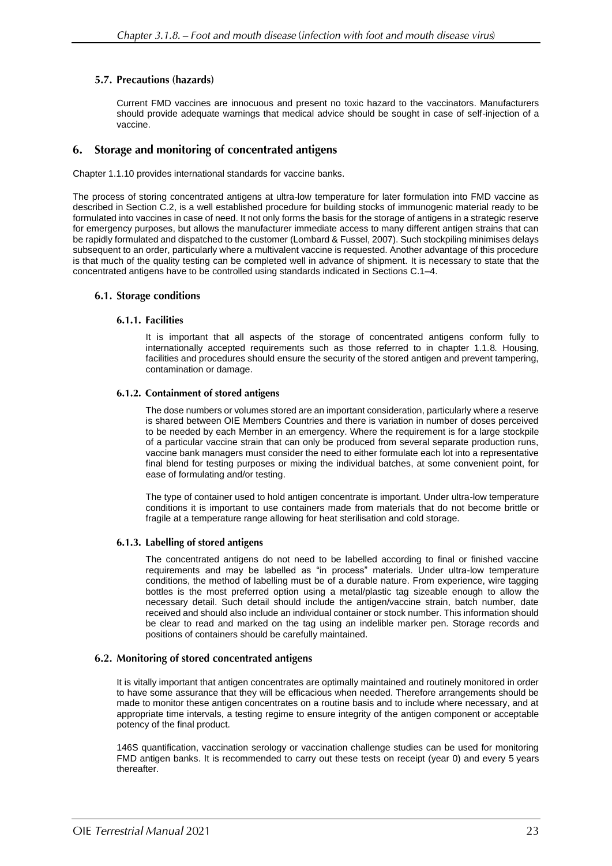# 5.7. Precautions (hazards)

Current FMD vaccines are innocuous and present no toxic hazard to the vaccinators. Manufacturers should provide adequate warnings that medical advice should be sought in case of self-injection of a vaccine.

#### Storage and monitoring of concentrated antigens 6.

Chapter 1.1.10 provides international standards for vaccine banks.

The process of storing concentrated antigens at ultra-low temperature for later formulation into FMD vaccine as described in Section C.2, is a well established procedure for building stocks of immunogenic material ready to be formulated into vaccines in case of need. It not only forms the basis for the storage of antigens in a strategic reserve for emergency purposes, but allows the manufacturer immediate access to many different antigen strains that can be rapidly formulated and dispatched to the customer (Lombard & Fussel, 2007). Such stockpiling minimises delays subsequent to an order, particularly where a multivalent vaccine is requested. Another advantage of this procedure is that much of the quality testing can be completed well in advance of shipment. It is necessary to state that the concentrated antigens have to be controlled using standards indicated in Sections C.1–4.

### 6.1. Storage conditions

### 6.1.1. Facilities

It is important that all aspects of the storage of concentrated antigens conform fully to internationally accepted requirements such as those referred to in chapter 1.1.8*.* Housing, facilities and procedures should ensure the security of the stored antigen and prevent tampering, contamination or damage.

### 6.1.2. Containment of stored antigens

The dose numbers or volumes stored are an important consideration, particularly where a reserve is shared between OIE Members Countries and there is variation in number of doses perceived to be needed by each Member in an emergency. Where the requirement is for a large stockpile of a particular vaccine strain that can only be produced from several separate production runs, vaccine bank managers must consider the need to either formulate each lot into a representative final blend for testing purposes or mixing the individual batches, at some convenient point, for ease of formulating and/or testing.

The type of container used to hold antigen concentrate is important. Under ultra-low temperature conditions it is important to use containers made from materials that do not become brittle or fragile at a temperature range allowing for heat sterilisation and cold storage.

### 6.1.3. Labelling of stored antigens

The concentrated antigens do not need to be labelled according to final or finished vaccine requirements and may be labelled as "in process" materials. Under ultra-low temperature conditions, the method of labelling must be of a durable nature. From experience, wire tagging bottles is the most preferred option using a metal/plastic tag sizeable enough to allow the necessary detail. Such detail should include the antigen/vaccine strain, batch number, date received and should also include an individual container or stock number. This information should be clear to read and marked on the tag using an indelible marker pen. Storage records and positions of containers should be carefully maintained.

### 6.2. Monitoring of stored concentrated antigens

It is vitally important that antigen concentrates are optimally maintained and routinely monitored in order to have some assurance that they will be efficacious when needed. Therefore arrangements should be made to monitor these antigen concentrates on a routine basis and to include where necessary, and at appropriate time intervals, a testing regime to ensure integrity of the antigen component or acceptable potency of the final product.

146S quantification, vaccination serology or vaccination challenge studies can be used for monitoring FMD antigen banks. It is recommended to carry out these tests on receipt (year 0) and every 5 years thereafter.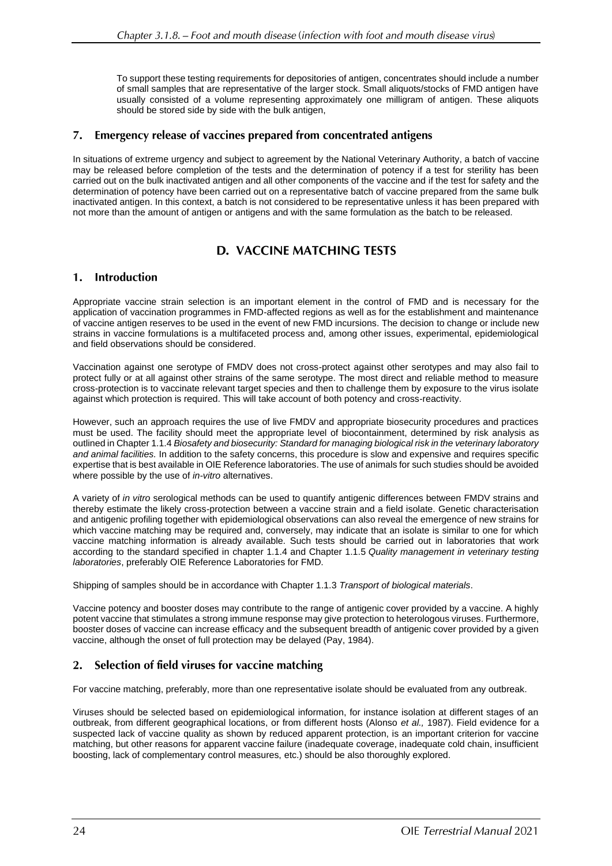To support these testing requirements for depositories of antigen, concentrates should include a number of small samples that are representative of the larger stock. Small aliquots/stocks of FMD antigen have usually consisted of a volume representing approximately one milligram of antigen. These aliquots should be stored side by side with the bulk antigen,

#### $7.$ Emergency release of vaccines prepared from concentrated antigens

In situations of extreme urgency and subject to agreement by the National Veterinary Authority, a batch of vaccine may be released before completion of the tests and the determination of potency if a test for sterility has been carried out on the bulk inactivated antigen and all other components of the vaccine and if the test for safety and the determination of potency have been carried out on a representative batch of vaccine prepared from the same bulk inactivated antigen. In this context, a batch is not considered to be representative unless it has been prepared with not more than the amount of antigen or antigens and with the same formulation as the batch to be released.

# **D. VACCINE MATCHING TESTS**

#### $\mathbf{1}$ . **Introduction**

Appropriate vaccine strain selection is an important element in the control of FMD and is necessary for the application of vaccination programmes in FMD-affected regions as well as for the establishment and maintenance of vaccine antigen reserves to be used in the event of new FMD incursions. The decision to change or include new strains in vaccine formulations is a multifaceted process and, among other issues, experimental, epidemiological and field observations should be considered.

Vaccination against one serotype of FMDV does not cross-protect against other serotypes and may also fail to protect fully or at all against other strains of the same serotype. The most direct and reliable method to measure cross-protection is to vaccinate relevant target species and then to challenge them by exposure to the virus isolate against which protection is required. This will take account of both potency and cross-reactivity.

However, such an approach requires the use of live FMDV and appropriate biosecurity procedures and practices must be used. The facility should meet the appropriate level of biocontainment, determined by risk analysis as outlined in Chapter 1.1.4 *Biosafety and biosecurity: Standard for managing biological risk in the veterinary laboratory and animal facilities.* In addition to the safety concerns, this procedure is slow and expensive and requires specific expertise that is best available in OIE Reference laboratories. The use of animals for such studies should be avoided where possible by the use of *in-vitro* alternatives.

A variety of *in vitro* serological methods can be used to quantify antigenic differences between FMDV strains and thereby estimate the likely cross-protection between a vaccine strain and a field isolate. Genetic characterisation and antigenic profiling together with epidemiological observations can also reveal the emergence of new strains for which vaccine matching may be required and, conversely, may indicate that an isolate is similar to one for which vaccine matching information is already available. Such tests should be carried out in laboratories that work according to the standard specified in chapter 1.1.4 and Chapter 1.1.5 *Quality management in veterinary testing laboratories*, preferably OIE Reference Laboratories for FMD.

Shipping of samples should be in accordance with Chapter 1.1.3 *Transport of biological materials*.

Vaccine potency and booster doses may contribute to the range of antigenic cover provided by a vaccine. A highly potent vaccine that stimulates a strong immune response may give protection to heterologous viruses. Furthermore, booster doses of vaccine can increase efficacy and the subsequent breadth of antigenic cover provided by a given vaccine, although the onset of full protection may be delayed (Pay, 1984).

#### Selection of field viruses for vaccine matching  $2.$

For vaccine matching, preferably, more than one representative isolate should be evaluated from any outbreak.

Viruses should be selected based on epidemiological information, for instance isolation at different stages of an outbreak, from different geographical locations, or from different hosts (Alonso *et al.,* 1987). Field evidence for a suspected lack of vaccine quality as shown by reduced apparent protection, is an important criterion for vaccine matching, but other reasons for apparent vaccine failure (inadequate coverage, inadequate cold chain, insufficient boosting, lack of complementary control measures, etc.) should be also thoroughly explored.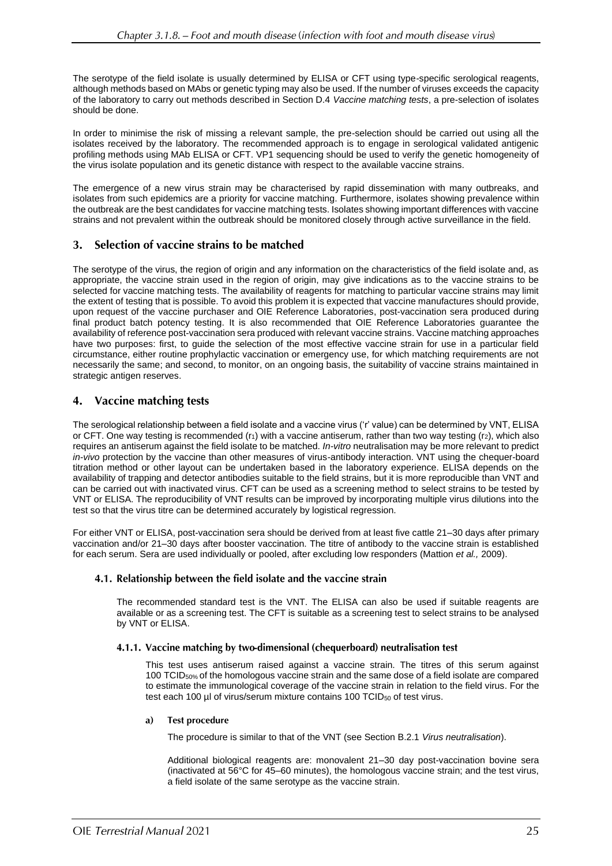The serotype of the field isolate is usually determined by ELISA or CFT using type-specific serological reagents, although methods based on MAbs or genetic typing may also be used. If the number of viruses exceeds the capacity of the laboratory to carry out methods described in Section D.4 *Vaccine matching tests*, a pre-selection of isolates should be done.

In order to minimise the risk of missing a relevant sample, the pre-selection should be carried out using all the isolates received by the laboratory. The recommended approach is to engage in serological validated antigenic profiling methods using MAb ELISA or CFT. VP1 sequencing should be used to verify the genetic homogeneity of the virus isolate population and its genetic distance with respect to the available vaccine strains.

The emergence of a new virus strain may be characterised by rapid dissemination with many outbreaks, and isolates from such epidemics are a priority for vaccine matching. Furthermore, isolates showing prevalence within the outbreak are the best candidates for vaccine matching tests. Isolates showing important differences with vaccine strains and not prevalent within the outbreak should be monitored closely through active surveillance in the field.

#### Selection of vaccine strains to be matched 3.

The serotype of the virus, the region of origin and any information on the characteristics of the field isolate and, as appropriate, the vaccine strain used in the region of origin, may give indications as to the vaccine strains to be selected for vaccine matching tests. The availability of reagents for matching to particular vaccine strains may limit the extent of testing that is possible. To avoid this problem it is expected that vaccine manufactures should provide, upon request of the vaccine purchaser and OIE Reference Laboratories, post-vaccination sera produced during final product batch potency testing. It is also recommended that OIE Reference Laboratories guarantee the availability of reference post-vaccination sera produced with relevant vaccine strains. Vaccine matching approaches have two purposes: first, to guide the selection of the most effective vaccine strain for use in a particular field circumstance, either routine prophylactic vaccination or emergency use, for which matching requirements are not necessarily the same; and second, to monitor, on an ongoing basis, the suitability of vaccine strains maintained in strategic antigen reserves.

#### 4. **Vaccine matching tests**

The serological relationship between a field isolate and a vaccine virus ('r' value) can be determined by VNT, ELISA or CFT. One way testing is recommended  $(r_1)$  with a vaccine antiserum, rather than two way testing  $(r_2)$ , which also requires an antiserum against the field isolate to be matched. *In-vitro* neutralisation may be more relevant to predict *in-vivo* protection by the vaccine than other measures of virus-antibody interaction. VNT using the chequer-board titration method or other layout can be undertaken based in the laboratory experience. ELISA depends on the availability of trapping and detector antibodies suitable to the field strains, but it is more reproducible than VNT and can be carried out with inactivated virus. CFT can be used as a screening method to select strains to be tested by VNT or ELISA. The reproducibility of VNT results can be improved by incorporating multiple virus dilutions into the test so that the virus titre can be determined accurately by logistical regression.

For either VNT or ELISA, post-vaccination sera should be derived from at least five cattle 21–30 days after primary vaccination and/or 21–30 days after booster vaccination. The titre of antibody to the vaccine strain is established for each serum. Sera are used individually or pooled, after excluding low responders (Mattion *et al.,* 2009).

# 4.1. Relationship between the field isolate and the vaccine strain

The recommended standard test is the VNT. The ELISA can also be used if suitable reagents are available or as a screening test. The CFT is suitable as a screening test to select strains to be analysed by VNT or ELISA.

# 4.1.1. Vaccine matching by two-dimensional (chequerboard) neutralisation test

This test uses antiserum raised against a vaccine strain. The titres of this serum against 100 TCID50% of the homologous vaccine strain and the same dose of a field isolate are compared to estimate the immunological coverage of the vaccine strain in relation to the field virus. For the test each 100 µl of virus/serum mixture contains 100 TCID<sub>50</sub> of test virus.

#### **Test procedure** a)

The procedure is similar to that of the VNT (see Section B.2.1 *Virus neutralisation*).

Additional biological reagents are: monovalent 21–30 day post-vaccination bovine sera (inactivated at 56°C for 45–60 minutes), the homologous vaccine strain; and the test virus, a field isolate of the same serotype as the vaccine strain.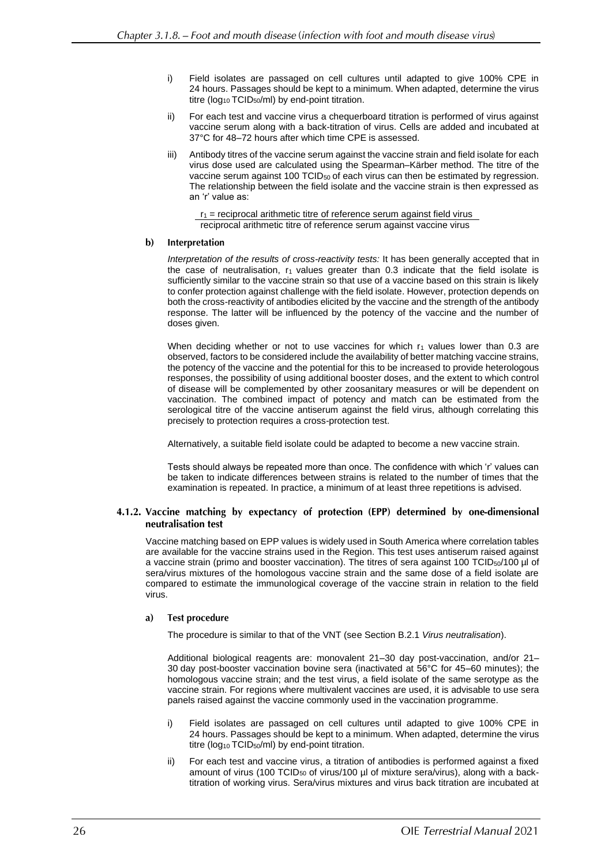- i) Field isolates are passaged on cell cultures until adapted to give 100% CPE in 24 hours. Passages should be kept to a minimum. When adapted, determine the virus titre (log<sub>10</sub> TCID<sub>50</sub>/ml) by end-point titration.
- ii) For each test and vaccine virus a chequerboard titration is performed of virus against vaccine serum along with a back-titration of virus. Cells are added and incubated at 37°C for 48–72 hours after which time CPE is assessed.
- iii) Antibody titres of the vaccine serum against the vaccine strain and field isolate for each virus dose used are calculated using the Spearman–Kärber method. The titre of the vaccine serum against 100 TCID<sub>50</sub> of each virus can then be estimated by regression. The relationship between the field isolate and the vaccine strain is then expressed as an 'r' value as:

 $r_1$  = reciprocal arithmetic titre of reference serum against field virus reciprocal arithmetic titre of reference serum against vaccine virus

#### $\mathbf{b}$ Interpretation

*Interpretation of the results of cross-reactivity tests:* It has been generally accepted that in the case of neutralisation,  $r_1$  values greater than 0.3 indicate that the field isolate is sufficiently similar to the vaccine strain so that use of a vaccine based on this strain is likely to confer protection against challenge with the field isolate. However, protection depends on both the cross-reactivity of antibodies elicited by the vaccine and the strength of the antibody response. The latter will be influenced by the potency of the vaccine and the number of doses given.

When deciding whether or not to use vaccines for which  $r_1$  values lower than 0.3 are observed, factors to be considered include the availability of better matching vaccine strains, the potency of the vaccine and the potential for this to be increased to provide heterologous responses, the possibility of using additional booster doses, and the extent to which control of disease will be complemented by other zoosanitary measures or will be dependent on vaccination. The combined impact of potency and match can be estimated from the serological titre of the vaccine antiserum against the field virus, although correlating this precisely to protection requires a cross-protection test.

Alternatively, a suitable field isolate could be adapted to become a new vaccine strain.

Tests should always be repeated more than once. The confidence with which 'r' values can be taken to indicate differences between strains is related to the number of times that the examination is repeated. In practice, a minimum of at least three repetitions is advised.

### 4.1.2. Vaccine matching by expectancy of protection (EPP) determined by one-dimensional neutralisation test

Vaccine matching based on EPP values is widely used in South America where correlation tables are available for the vaccine strains used in the Region. This test uses antiserum raised against a vaccine strain (primo and booster vaccination). The titres of sera against 100 TCID<sub>50</sub>/100 µl of sera/virus mixtures of the homologous vaccine strain and the same dose of a field isolate are compared to estimate the immunological coverage of the vaccine strain in relation to the field virus.

#### **Test procedure**  $a)$

The procedure is similar to that of the VNT (see Section B.2.1 *Virus neutralisation*).

Additional biological reagents are: monovalent 21–30 day post-vaccination, and/or 21– 30 day post-booster vaccination bovine sera (inactivated at 56°C for 45–60 minutes); the homologous vaccine strain; and the test virus, a field isolate of the same serotype as the vaccine strain. For regions where multivalent vaccines are used, it is advisable to use sera panels raised against the vaccine commonly used in the vaccination programme.

- i) Field isolates are passaged on cell cultures until adapted to give 100% CPE in 24 hours. Passages should be kept to a minimum. When adapted, determine the virus titre (log<sub>10</sub> TCID<sub>50</sub>/ml) by end-point titration.
- ii) For each test and vaccine virus, a titration of antibodies is performed against a fixed amount of virus (100 TCID<sub>50</sub> of virus/100 µl of mixture sera/virus), along with a backtitration of working virus. Sera/virus mixtures and virus back titration are incubated at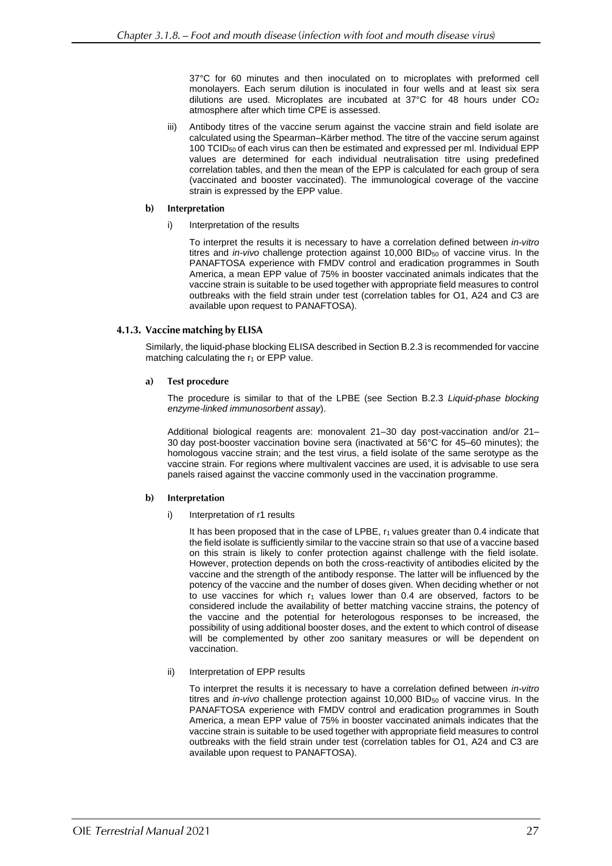37°C for 60 minutes and then inoculated on to microplates with preformed cell monolayers. Each serum dilution is inoculated in four wells and at least six sera dilutions are used. Microplates are incubated at 37°C for 48 hours under CO<sup>2</sup> atmosphere after which time CPE is assessed.

iii) Antibody titres of the vaccine serum against the vaccine strain and field isolate are calculated using the Spearman–Kärber method. The titre of the vaccine serum against 100 TCID<sup>50</sup> of each virus can then be estimated and expressed per ml. Individual EPP values are determined for each individual neutralisation titre using predefined correlation tables, and then the mean of the EPP is calculated for each group of sera (vaccinated and booster vaccinated). The immunological coverage of the vaccine strain is expressed by the EPP value.

#### $\mathbf{b}$ Interpretation

Interpretation of the results

To interpret the results it is necessary to have a correlation defined between *in-vitro* titres and *in-vivo* challenge protection against 10,000 BID<sub>50</sub> of vaccine virus. In the PANAFTOSA experience with FMDV control and eradication programmes in South America, a mean EPP value of 75% in booster vaccinated animals indicates that the vaccine strain is suitable to be used together with appropriate field measures to control outbreaks with the field strain under test (correlation tables for O1, A24 and C3 are available upon request to PANAFTOSA).

### 4.1.3. Vaccine matching by ELISA

Similarly, the liquid-phase blocking ELISA described in Section B.2.3 is recommended for vaccine matching calculating the  $r_1$  or EPP value.

#### $a)$ **Test procedure**

The procedure is similar to that of the LPBE (see Section B.2.3 *Liquid-phase blocking enzyme-linked immunosorbent assay*).

Additional biological reagents are: monovalent 21–30 day post-vaccination and/or 21– 30 day post-booster vaccination bovine sera (inactivated at 56°C for 45–60 minutes); the homologous vaccine strain; and the test virus, a field isolate of the same serotype as the vaccine strain. For regions where multivalent vaccines are used, it is advisable to use sera panels raised against the vaccine commonly used in the vaccination programme.

#### b) Interpretation

i) Interpretation of r1 results

It has been proposed that in the case of LPBE,  $r_1$  values greater than 0.4 indicate that the field isolate is sufficiently similar to the vaccine strain so that use of a vaccine based on this strain is likely to confer protection against challenge with the field isolate. However, protection depends on both the cross-reactivity of antibodies elicited by the vaccine and the strength of the antibody response. The latter will be influenced by the potency of the vaccine and the number of doses given. When deciding whether or not to use vaccines for which  $r_1$  values lower than 0.4 are observed, factors to be considered include the availability of better matching vaccine strains, the potency of the vaccine and the potential for heterologous responses to be increased, the possibility of using additional booster doses, and the extent to which control of disease will be complemented by other zoo sanitary measures or will be dependent on vaccination.

ii) Interpretation of EPP results

To interpret the results it is necessary to have a correlation defined between *in-vitro* titres and *in-vivo* challenge protection against 10,000 BID<sub>50</sub> of vaccine virus. In the PANAFTOSA experience with FMDV control and eradication programmes in South America, a mean EPP value of 75% in booster vaccinated animals indicates that the vaccine strain is suitable to be used together with appropriate field measures to control outbreaks with the field strain under test (correlation tables for O1, A24 and C3 are available upon request to PANAFTOSA).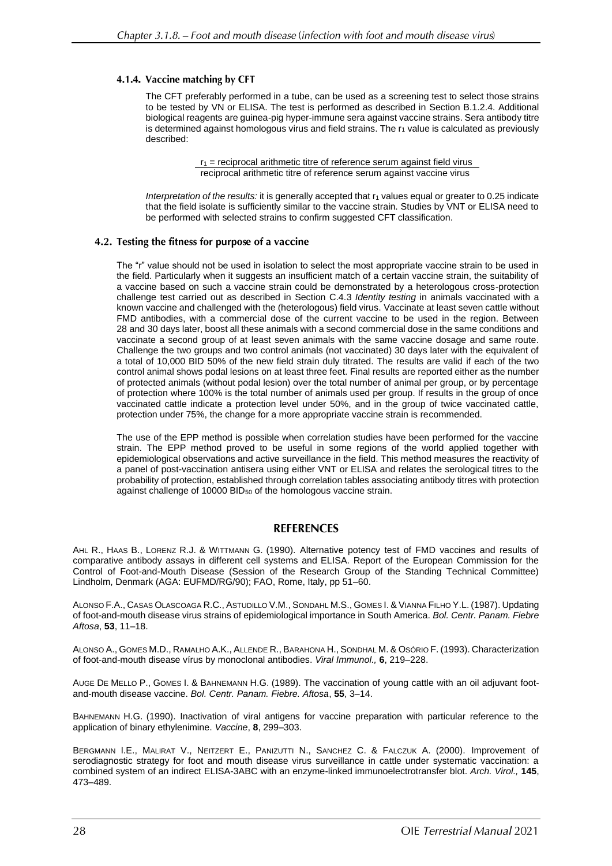## 4.1.4. Vaccine matching by CFT

The CFT preferably performed in a tube, can be used as a screening test to select those strains to be tested by VN or ELISA. The test is performed as described in Section B.1.2.4. Additional biological reagents are guinea-pig hyper-immune sera against vaccine strains. Sera antibody titre is determined against homologous virus and field strains. The r<sub>1</sub> value is calculated as previously described:

> $r_1$  = reciprocal arithmetic titre of reference serum against field virus reciprocal arithmetic titre of reference serum against vaccine virus

*Interpretation of the results:* it is generally accepted that  $r_1$  values equal or greater to 0.25 indicate that the field isolate is sufficiently similar to the vaccine strain. Studies by VNT or ELISA need to be performed with selected strains to confirm suggested CFT classification.

# 4.2. Testing the fitness for purpose of a vaccine

The "r" value should not be used in isolation to select the most appropriate vaccine strain to be used in the field. Particularly when it suggests an insufficient match of a certain vaccine strain, the suitability of a vaccine based on such a vaccine strain could be demonstrated by a heterologous cross-protection challenge test carried out as described in Section C.4.3 *Identity testing* in animals vaccinated with a known vaccine and challenged with the (heterologous) field virus. Vaccinate at least seven cattle without FMD antibodies, with a commercial dose of the current vaccine to be used in the region. Between 28 and 30 days later, boost all these animals with a second commercial dose in the same conditions and vaccinate a second group of at least seven animals with the same vaccine dosage and same route. Challenge the two groups and two control animals (not vaccinated) 30 days later with the equivalent of a total of 10,000 BID 50% of the new field strain duly titrated. The results are valid if each of the two control animal shows podal lesions on at least three feet. Final results are reported either as the number of protected animals (without podal lesion) over the total number of animal per group, or by percentage of protection where 100% is the total number of animals used per group. If results in the group of once vaccinated cattle indicate a protection level under 50%, and in the group of twice vaccinated cattle, protection under 75%, the change for a more appropriate vaccine strain is recommended.

The use of the EPP method is possible when correlation studies have been performed for the vaccine strain. The EPP method proved to be useful in some regions of the world applied together with epidemiological observations and active surveillance in the field. This method measures the reactivity of a panel of post-vaccination antisera using either VNT or ELISA and relates the serological titres to the probability of protection, established through correlation tables associating antibody titres with protection against challenge of 10000 BID<sup>50</sup> of the homologous vaccine strain.

# **REFERENCES**

AHL R., HAAS B., LORENZ R.J. & WITTMANN G. (1990). Alternative potency test of FMD vaccines and results of comparative antibody assays in different cell systems and ELISA. Report of the European Commission for the Control of Foot-and-Mouth Disease (Session of the Research Group of the Standing Technical Committee) Lindholm, Denmark (AGA: EUFMD/RG/90); FAO, Rome, Italy, pp 51–60.

ALONSO F.A., CASAS OLASCOAGA R.C., ASTUDILLO V.M., SONDAHL M.S., GOMES I. & VIANNA FILHO Y.L. (1987). Updating of foot-and-mouth disease virus strains of epidemiological importance in South America. *Bol. Centr. Panam. Fiebre Aftosa*, **53**, 11–18.

ALONSO A., GOMES M.D., RAMALHO A.K., ALLENDE R., BARAHONA H., SONDHAL M. & OSÓRIO F. (1993). Characterization of foot-and-mouth disease vírus by monoclonal antibodies. *Viral Immunol.,* **6**, 219–228.

AUGE DE MELLO P., GOMES I. & BAHNEMANN H.G. (1989). The vaccination of young cattle with an oil adjuvant footand-mouth disease vaccine. *Bol. Centr. Panam. Fiebre. Aftosa*, **55**, 3–14.

BAHNEMANN H.G. (1990). Inactivation of viral antigens for vaccine preparation with particular reference to the application of binary ethylenimine. *Vaccine*, **8**, 299–303.

BERGMANN I.E., MALIRAT V., NEITZERT E., PANIZUTTI N., SANCHEZ C. & FALCZUK A. (2000). Improvement of serodiagnostic strategy for foot and mouth disease virus surveillance in cattle under systematic vaccination: a combined system of an indirect ELISA-3ABC with an enzyme-linked immunoelectrotransfer blot. *Arch. Virol.,* **145**, 473–489.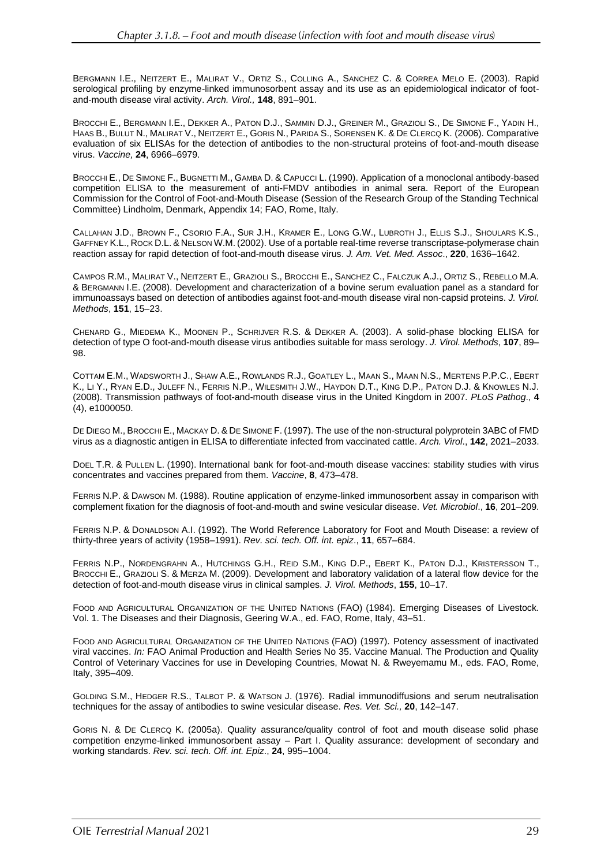BERGMANN I.E., NEITZERT E., MALIRAT V., ORTIZ S., COLLING A., SANCHEZ C. & CORREA MELO E. (2003). Rapid serological profiling by enzyme-linked immunosorbent assay and its use as an epidemiological indicator of footand-mouth disease viral activity. *Arch. Virol.,* **148**, 891–901.

BROCCHI E., BERGMANN I.E., DEKKER A., PATON D.J., SAMMIN D.J., GREINER M., GRAZIOLI S., DE SIMONE F., YADIN H., HAAS B., BULUT N., MALIRAT V., NEITZERT E., GORIS N., PARIDA S., SORENSEN K. & DE CLERCQ K. (2006). Comparative evaluation of six ELISAs for the detection of antibodies to the non-structural proteins of foot-and-mouth disease virus. *Vaccine,* **24**, 6966–6979.

BROCCHI E., DE SIMONE F., BUGNETTI M., GAMBA D. & CAPUCCI L. (1990). Application of a monoclonal antibody-based competition ELISA to the measurement of anti-FMDV antibodies in animal sera. Report of the European Commission for the Control of Foot-and-Mouth Disease (Session of the Research Group of the Standing Technical Committee) Lindholm, Denmark, Appendix 14; FAO, Rome, Italy.

CALLAHAN J.D., BROWN F., CSORIO F.A., SUR J.H., KRAMER E., LONG G.W., LUBROTH J., ELLIS S.J., SHOULARS K.S., GAFFNEY K.L., ROCK D.L. & NELSON W.M. (2002). Use of a portable real-time reverse transcriptase-polymerase chain reaction assay for rapid detection of foot-and-mouth disease virus. *J. Am. Vet. Med. Assoc*., **220**, 1636–1642.

CAMPOS R.M., MALIRAT V., NEITZERT E., GRAZIOLI S., BROCCHI E., SANCHEZ C., FALCZUK A.J., ORTIZ S., REBELLO M.A. & BERGMANN I.E. (2008). Development and characterization of a bovine serum evaluation panel as a standard for immunoassays based on detection of antibodies against foot-and-mouth disease viral non-capsid proteins. *J. Virol. Methods*, **151**, 15–23.

CHENARD G., MIEDEMA K., MOONEN P., SCHRIJVER R.S. & DEKKER A. (2003). A solid-phase blocking ELISA for detection of type O foot-and-mouth disease virus antibodies suitable for mass serology. *J. Virol. Methods*, **107**, 89– 98.

COTTAM E.M., WADSWORTH J., SHAW A.E., ROWLANDS R.J., GOATLEY L., MAAN S., MAAN N.S., MERTENS P.P.C., EBERT K., LI Y., RYAN E.D., JULEFF N., FERRIS N.P., WILESMITH J.W., HAYDON D.T., KING D.P., PATON D.J. & KNOWLES N.J. (2008). Transmission pathways of foot-and-mouth disease virus in the United Kingdom in 2007*. PLoS Pathog*., **4** (4), e1000050.

DE DIEGO M., BROCCHI E., MACKAY D. & DE SIMONE F. (1997). The use of the non-structural polyprotein 3ABC of FMD virus as a diagnostic antigen in ELISA to differentiate infected from vaccinated cattle. *Arch. Virol*., **142**, 2021–2033.

DOEL T.R. & PULLEN L. (1990). International bank for foot-and-mouth disease vaccines: stability studies with virus concentrates and vaccines prepared from them. *Vaccine*, **8**, 473–478.

FERRIS N.P. & DAWSON M. (1988). Routine application of enzyme-linked immunosorbent assay in comparison with complement fixation for the diagnosis of foot-and-mouth and swine vesicular disease. *Vet. Microbiol*., **16**, 201–209.

FERRIS N.P. & DONALDSON A.I. (1992). The World Reference Laboratory for Foot and Mouth Disease: a review of thirty-three years of activity (1958–1991). *Rev. sci. tech. Off. int. epiz*., **11**, 657–684.

FERRIS N.P., NORDENGRAHN A., HUTCHINGS G.H., REID S.M., KING D.P., EBERT K., PATON D.J., KRISTERSSON T., BROCCHI E., GRAZIOLI S. & MERZA M. (2009). Development and laboratory validation of a lateral flow device for the detection of foot-and-mouth disease virus in clinical samples. *J. Virol. Methods*, **155**, 10–17.

FOOD AND AGRICULTURAL ORGANIZATION OF THE UNITED NATIONS (FAO) (1984). Emerging Diseases of Livestock. Vol. 1. The Diseases and their Diagnosis, Geering W.A., ed. FAO, Rome, Italy, 43–51.

FOOD AND AGRICULTURAL ORGANIZATION OF THE UNITED NATIONS (FAO) (1997). Potency assessment of inactivated viral vaccines. *In:* FAO Animal Production and Health Series No 35. Vaccine Manual. The Production and Quality Control of Veterinary Vaccines for use in Developing Countries, Mowat N. & Rweyemamu M., eds. FAO, Rome, Italy, 395–409.

GOLDING S.M., HEDGER R.S., TALBOT P. & WATSON J. (1976). Radial immunodiffusions and serum neutralisation techniques for the assay of antibodies to swine vesicular disease. *Res. Vet. Sci.,* **20**, 142–147.

GORIS N. & DE CLERCQ K. (2005a). Quality assurance/quality control of foot and mouth disease solid phase competition enzyme-linked immunosorbent assay – Part I. Quality assurance: development of secondary and working standards. *Rev. sci. tech. Off. int. Epiz*., **24**, 995–1004.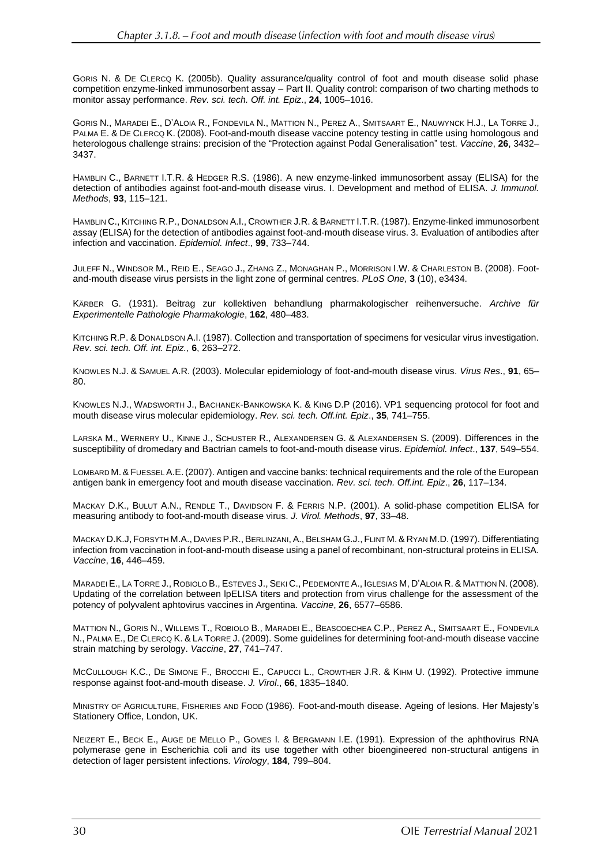GORIS N. & DE CLERCQ K. (2005b). Quality assurance/quality control of foot and mouth disease solid phase competition enzyme-linked immunosorbent assay – Part II. Quality control: comparison of two charting methods to monitor assay performance. *Rev. sci. tech. Off. int. Epiz*., **24**, 1005–1016.

GORIS N., MARADEI E., D'ALOIA R., FONDEVILA N., MATTION N., PEREZ A., SMITSAART E., NAUWYNCK H.J., LA TORRE J., PALMA E. & DE CLERCQ K. (2008). Foot-and-mouth disease vaccine potency testing in cattle using homologous and heterologous challenge strains: precision of the "Protection against Podal Generalisation" test. *Vaccine*, **26**, 3432– 3437.

HAMBLIN C., BARNETT I.T.R. & HEDGER R.S. (1986). A new enzyme-linked immunosorbent assay (ELISA) for the detection of antibodies against foot-and-mouth disease virus. I. Development and method of ELISA. *J. Immunol. Methods*, **93**, 115–121.

HAMBLIN C., KITCHING R.P., DONALDSON A.I., CROWTHER J.R. & BARNETT I.T.R. (1987). Enzyme-linked immunosorbent assay (ELISA) for the detection of antibodies against foot-and-mouth disease virus. 3. Evaluation of antibodies after infection and vaccination. *Epidemiol. Infect*., **99**, 733–744.

JULEFF N., WINDSOR M., REID E., SEAGO J., ZHANG Z., MONAGHAN P., MORRISON I.W. & CHARLESTON B. (2008). Footand-mouth disease virus persists in the light zone of germinal centres. *PLoS One,* **3** (10), e3434.

KÄRBER G. (1931). Beitrag zur kollektiven behandlung pharmakologischer reihenversuche. *Archive für Experimentelle Pathologie Pharmakologie*, **162**, 480–483.

KITCHING R.P. & DONALDSON A.I. (1987). Collection and transportation of specimens for vesicular virus investigation. *Rev. sci. tech. Off. int. Epiz.,* **6**, 263–272.

KNOWLES N.J. & SAMUEL A.R. (2003). Molecular epidemiology of foot-and-mouth disease virus. *Virus Res*., **91**, 65– 80.

KNOWLES N.J., WADSWORTH J., BACHANEK-BANKOWSKA K. & KING D.P (2016). VP1 sequencing protocol for foot and mouth disease virus molecular epidemiology. *Rev. sci. tech. Off.int. Epiz*., **35**, 741–755.

LARSKA M., WERNERY U., KINNE J., SCHUSTER R., ALEXANDERSEN G. & ALEXANDERSEN S. (2009). Differences in the susceptibility of dromedary and Bactrian camels to foot-and-mouth disease virus. *Epidemiol. Infect*., **137**, 549–554.

LOMBARD M.& FUESSEL A.E.(2007). Antigen and vaccine banks: technical requirements and the role of the European antigen bank in emergency foot and mouth disease vaccination. *Rev. sci. tech. Off.int. Epiz*., **26**, 117–134.

MACKAY D.K., BULUT A.N., RENDLE T., DAVIDSON F. & FERRIS N.P. (2001). A solid-phase competition ELISA for measuring antibody to foot-and-mouth disease virus. *J. Virol. Methods*, **97**, 33–48.

MACKAY D.K.J, FORSYTH M.A., DAVIES P.R.,BERLINZANI,A.,BELSHAM G.J., FLINT M.& RYAN M.D.(1997). Differentiating infection from vaccination in foot-and-mouth disease using a panel of recombinant, non-structural proteins in ELISA. *Vaccine*, **16**, 446–459.

MARADEI E., LA TORRE J., ROBIOLO B., ESTEVES J., SEKI C., PEDEMONTE A., IGLESIAS M, D'ALOIA R. & MATTION N. (2008). Updating of the correlation between lpELISA titers and protection from virus challenge for the assessment of the potency of polyvalent aphtovirus vaccines in Argentina. *Vaccine*, **26**, 6577–6586.

MATTION N., GORIS N., WILLEMS T., ROBIOLO B., MARADEI E., BEASCOECHEA C.P., PEREZ A., SMITSAART E., FONDEVILA N., PALMA E., DE CLERCQ K. & LA TORRE J. (2009). Some guidelines for determining foot-and-mouth disease vaccine strain matching by serology. *Vaccine*, **27**, 741–747.

MCCULLOUGH K.C., DE SIMONE F., BROCCHI E., CAPUCCI L., CROWTHER J.R. & KIHM U. (1992). Protective immune response against foot-and-mouth disease. *J. Virol*., **66**, 1835–1840.

MINISTRY OF AGRICULTURE, FISHERIES AND FOOD (1986). Foot-and-mouth disease. Ageing of lesions. Her Majesty's Stationery Office, London, UK.

NEIZERT E., BECK E., AUGE DE MELLO P., GOMES I. & BERGMANN I.E. (1991). Expression of the aphthovirus RNA polymerase gene in Escherichia coli and its use together with other bioengineered non-structural antigens in detection of lager persistent infections. *Virology*, **184**, 799–804.